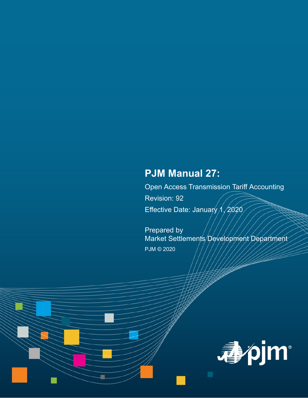# **PJM Manual 27:**

Open Access Transmission Tariff Accounting Revision: 92 Effective Date: January  $\Lambda$  /2020

Prepared by Market Settlements Development Department PJM © 2020

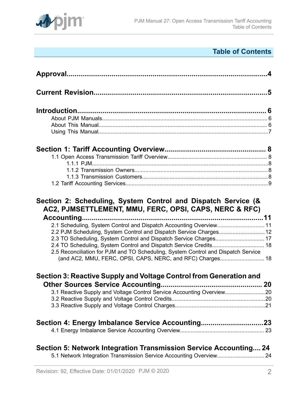

# **Table of Contents**

| 2.1 Scheduling, System Control and Dispatch Accounting Overview 11<br>2.2 PJM Scheduling, System Control and Dispatch Service Charges 12<br>2.3 TO Scheduling, System Control and Dispatch Service Charges 17<br>2.5 Reconciliation for PJM and TO Scheduling, System Control and Dispatch Service<br>(and AC2, MMU, FERC, OPSI, CAPS, NERC, and RFC) Charges 18 |  |
|------------------------------------------------------------------------------------------------------------------------------------------------------------------------------------------------------------------------------------------------------------------------------------------------------------------------------------------------------------------|--|
| Section 3: Reactive Supply and Voltage Control from Generation and                                                                                                                                                                                                                                                                                               |  |
|                                                                                                                                                                                                                                                                                                                                                                  |  |
| 3.1 Reactive Supply and Voltage Control Service Accounting Overview20                                                                                                                                                                                                                                                                                            |  |
|                                                                                                                                                                                                                                                                                                                                                                  |  |
|                                                                                                                                                                                                                                                                                                                                                                  |  |
| Section 4: Energy Imbalance Service Accounting23                                                                                                                                                                                                                                                                                                                 |  |
|                                                                                                                                                                                                                                                                                                                                                                  |  |
| Section 5: Network Integration Transmission Service Accounting 24<br>5.1 Network Integration Transmission Service Accounting Overview 24                                                                                                                                                                                                                         |  |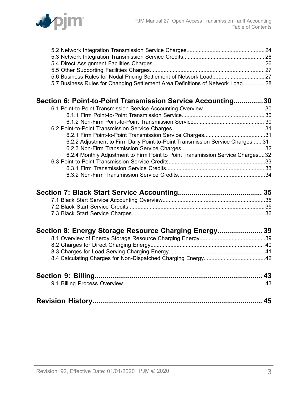

| 5.7 Business Rules for Changing Settlement Area Definitions of Network Load 28 |  |
|--------------------------------------------------------------------------------|--|
| Section 6: Point-to-Point Transmission Service Accounting30                    |  |
|                                                                                |  |
|                                                                                |  |
|                                                                                |  |
|                                                                                |  |
|                                                                                |  |
| 6.2.2 Adjustment to Firm Daily Point-to-Point Transmission Service Charges 31  |  |
|                                                                                |  |
| 6.2.4 Monthly Adjustment to Firm Point to Point Transmission Service Charges32 |  |
|                                                                                |  |
|                                                                                |  |
|                                                                                |  |
|                                                                                |  |
|                                                                                |  |
|                                                                                |  |
|                                                                                |  |
| Section 8: Energy Storage Resource Charging Energy 39                          |  |
|                                                                                |  |
|                                                                                |  |
|                                                                                |  |
|                                                                                |  |
|                                                                                |  |
|                                                                                |  |
|                                                                                |  |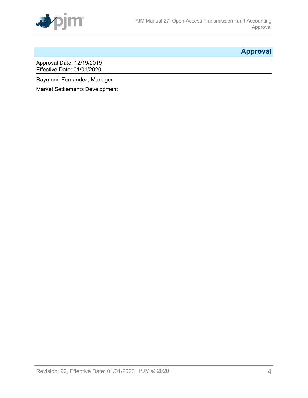

## <span id="page-3-0"></span>**Approval**

Approval Date: 12/19/2019 Effective Date: 01/01/2020

Raymond Fernandez, Manager

Market Settlements Development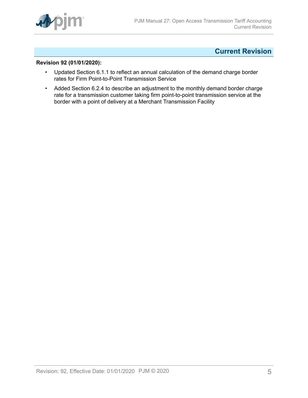

### <span id="page-4-0"></span>**Current Revision**

#### **Revision 92 (01/01/2020):**

- Updated Section 6.1.1 to reflect an annual calculation of the demand charge border rates for Firm Point-to-Point Transmission Service
- Added Section 6.2.4 to describe an adjustment to the monthly demand border charge rate for a transmission customer taking firm point-to-point transmission service at the border with a point of delivery at a Merchant Transmission Facility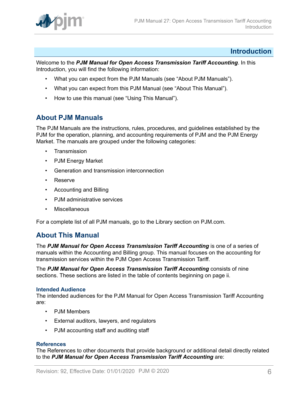

#### <span id="page-5-0"></span>**Introduction**

Welcome to the *PJM Manual for Open Access Transmission Tariff Accounting*. In this Introduction, you will find the following information:

- What you can expect from the PJM Manuals (see "About PJM Manuals").
- What you can expect from this PJM Manual (see "About This Manual").
- How to use this manual (see "Using This Manual").

### <span id="page-5-1"></span>**About PJM Manuals**

The PJM Manuals are the instructions, rules, procedures, and guidelines established by the PJM for the operation, planning, and accounting requirements of PJM and the PJM Energy Market. The manuals are grouped under the following categories:

- **Transmission**
- PJM Energy Market
- Generation and transmission interconnection
- Reserve
- Accounting and Billing
- PJM administrative services
- Miscellaneous

For a complete list of all PJM manuals, go to the Library section on PJM.com.

### <span id="page-5-2"></span>**About This Manual**

The *PJM Manual for Open Access Transmission Tariff Accounting* is one of a series of manuals within the Accounting and Billing group. This manual focuses on the accounting for transmission services within the PJM Open Access Transmission Tariff.

The *PJM Manual for Open Access Transmission Tariff Accounting* consists of nine sections. These sections are listed in the table of contents beginning on page ii.

#### **Intended Audience**

The intended audiences for the PJM Manual for Open Access Transmission Tariff Accounting are:

- PJM Members
- External auditors, lawyers, and regulators
- PJM accounting staff and auditing staff

#### **References**

The References to other documents that provide background or additional detail directly related to the *PJM Manual for Open Access Transmission Tariff Accounting* are: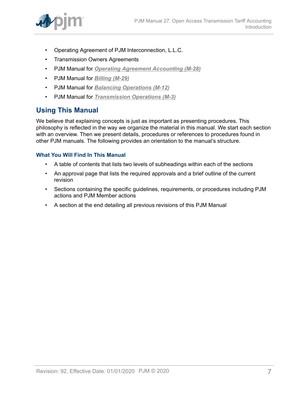

- Operating Agreement of PJM Interconnection, L.L.C.
- Transmission Owners Agreements
- PJM Manual for *[Operating Agreement Accounting \(M-28\)](http://www.pjm.com/~/media/documents/manuals/m28.ashx)*
- PJM Manual for *[Billing \(M-29\)](http://www.pjm.com/~/media/documents/manuals/m29.ashx)*
- PJM Manual for *[Balancing Operations \(M-12\)](http://www.pjm.com/~/media/documents/manuals/m12.ashx)*
- PJM Manual for *[Transmission](http://www.pjm.com/~/media/documents/manuals/m03.ashx) Operations (M-3)*

### <span id="page-6-0"></span>**Using This Manual**

We believe that explaining concepts is just as important as presenting procedures. This philosophy is reflected in the way we organize the material in this manual. We start each section with an overview. Then we present details, procedures or references to procedures found in other PJM manuals. The following provides an orientation to the manual's structure.

#### **What You Will Find In This Manual**

- A table of contents that lists two levels of subheadings within each of the sections
- An approval page that lists the required approvals and a brief outline of the current revision
- Sections containing the specific guidelines, requirements, or procedures including PJM actions and PJM Member actions
- A section at the end detailing all previous revisions of this PJM Manual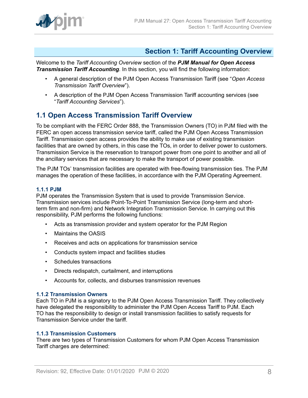

### <span id="page-7-0"></span>**Section 1: Tariff Accounting Overview**

Welcome to the *Tariff Accounting Overview* section of the *PJM Manual for Open Access Transmission Tariff Accounting*. In this section, you will find the following information:

- A general description of the PJM Open Access Transmission Tariff (see "*Open Access Transmission Tariff Overview*").
- A description of the PJM Open Access Transmission Tariff accounting services (see "*Tariff Accounting Services*").

### <span id="page-7-1"></span>**1.1 Open Access Transmission Tariff Overview**

To be compliant with the FERC Order 888, the Transmission Owners (TO) in PJM filed with the FERC an open access transmission service tariff, called the PJM Open Access Transmission Tariff. Transmission open access provides the ability to make use of existing transmission facilities that are owned by others, in this case the TOs, in order to deliver power to customers. Transmission Service is the reservation to transport power from one point to another and all of the ancillary services that are necessary to make the transport of power possible.

The PJM TOs' transmission facilities are operated with free-flowing transmission ties. The PJM manages the operation of these facilities, in accordance with the PJM Operating Agreement.

#### <span id="page-7-2"></span>**1.1.1 PJM**

PJM operates the Transmission System that is used to provide Transmission Service. Transmission services include Point-To-Point Transmission Service (long-term and shortterm firm and non-firm) and Network Integration Transmission Service. In carrying out this responsibility, PJM performs the following functions:

- Acts as transmission provider and system operator for the PJM Region
- Maintains the OASIS
- Receives and acts on applications for transmission service
- Conducts system impact and facilities studies
- Schedules transactions
- Directs redispatch, curtailment, and interruptions
- Accounts for, collects, and disburses transmission revenues

#### <span id="page-7-3"></span>**1.1.2 Transmission Owners**

Each TO in PJM is a signatory to the PJM Open Access Transmission Tariff. They collectively have delegated the responsibility to administer the PJM Open Access Tariff to PJM. Each TO has the responsibility to design or install transmission facilities to satisfy requests for Transmission Service under the tariff.

#### <span id="page-7-4"></span>**1.1.3 Transmission Customers**

There are two types of Transmission Customers for whom PJM Open Access Transmission Tariff charges are determined: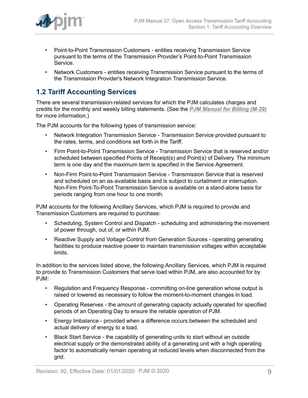

- Point-to-Point Transmission Customers entities receiving Transmission Service pursuant to the terms of the Transmission Provider's Point-to-Point Transmission Service.
- Network Customers entities receiving Transmission Service pursuant to the terms of the Transmission Provider's Network Integration Transmission Service.

### <span id="page-8-0"></span>**1.2 Tariff Accounting Services**

There are several transmission-related services for which the PJM calculates charges and credits for the monthly and weekly billing statements. (See the *[PJM Manual for Billing \(M-29\)](http://www.pjm.com/~/media/documents/manuals/m29.ashx)* for more information.)

The PJM accounts for the following types of transmission service:

- Network Integration Transmission Service Transmission Service provided pursuant to the rates, terms, and conditions set forth in the Tariff.
- Firm Point-to-Point Transmission Service Transmission Service that is reserved and/or scheduled between specified Points of Receipt(s) and Point(s) of Delivery. The minimum term is one day and the maximum term is specified in the Service Agreement.
- Non-Firm Point-to-Point Transmission Service Transmission Service that is reserved and scheduled on an as-available basis and is subject to curtailment or interruption. Non-Firm Point-To-Point Transmission Service is available on a stand-alone basis for periods ranging from one hour to one month.

PJM accounts for the following Ancillary Services, which PJM is required to provide and Transmission Customers are required to purchase:

- Scheduling, System Control and Dispatch scheduling and administering the movement of power through, out of, or within PJM.
- Reactive Supply and Voltage Control from Generation Sources operating generating facilities to produce reactive power to maintain transmission voltages within acceptable limits.

In addition to the services listed above, the following Ancillary Services, which PJM is required to provide to Transmission Customers that serve load within PJM, are also accounted for by PJM:

- Regulation and Frequency Response committing on-line generation whose output is raised or lowered as necessary to follow the moment-to-moment changes in load.
- Operating Reserves the amount of generating capacity actually operated for specified periods of an Operating Day to ensure the reliable operation of PJM.
- Energy Imbalance provided when a difference occurs between the scheduled and actual delivery of energy to a load.
- Black Start Service the capability of generating units to start without an outside electrical supply or the demonstrated ability of a generating unit with a high operating factor to automatically remain operating at reduced levels when disconnected from the grid.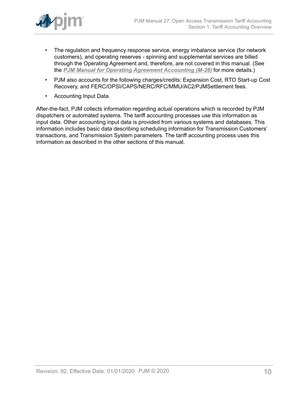

- The regulation and frequency response service, energy imbalance service (for network customers), and operating reserves - spinning and supplemental services are billed through the Operating Agreement and, therefore, are not covered in this manual. (See the *[PJM Manual for Operating Agreement Accounting \(M-28\)](http://www.pjm.com/~/media/documents/manuals/m28.ashx)* for more details.)
- PJM also accounts for the following charges/credits: Expansion Cost, RTO Start-up Cost Recovery, and FERC/OPSI/CAPS/NERC/RFC/MMU/AC2/PJMSettlement fees.
- Accounting Input Data.

After-the-fact, PJM collects information regarding actual operations which is recorded by PJM dispatchers or automated systems. The tariff accounting processes use this information as input data. Other accounting input data is provided from various systems and databases. This information includes basic data describing scheduling information for Transmission Customers' transactions, and Transmission System parameters. The tariff accounting process uses this information as described in the other sections of this manual.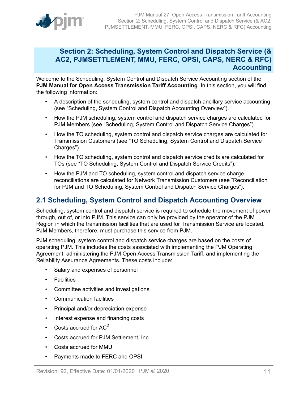

### <span id="page-10-0"></span>**Section 2: Scheduling, System Control and Dispatch Service (& AC2, PJMSETTLEMENT, MMU, FERC, OPSI, CAPS, NERC & RFC) Accounting**

Welcome to the Scheduling, System Control and Dispatch Service Accounting section of the **PJM Manual for Open Access Transmission Tariff Accounting**. In this section, you will find the following information:

- A description of the scheduling, system control and dispatch ancillary service accounting (see "Scheduling, System Control and Dispatch Accounting Overview").
- How the PJM scheduling, system control and dispatch service charges are calculated for PJM Members (see "Scheduling, System Control and Dispatch Service Charges").
- How the TO scheduling, system control and dispatch service charges are calculated for Transmission Customers (see "TO Scheduling, System Control and Dispatch Service Charges").
- How the TO scheduling, system control and dispatch service credits are calculated for TOs (see "TO Scheduling, System Control and Dispatch Service Credits").
- How the PJM and TO scheduling, system control and dispatch service charge reconciliations are calculated for Network Transmission Customers (see "Reconciliation for PJM and TO Scheduling, System Control and Dispatch Service Charges").

### <span id="page-10-1"></span>**2.1 Scheduling, System Control and Dispatch Accounting Overview**

Scheduling, system control and dispatch service is required to schedule the movement of power through, out of, or into PJM. This service can only be provided by the operator of the PJM Region in which the transmission facilities that are used for Transmission Service are located. PJM Members, therefore, must purchase this service from PJM.

PJM scheduling, system control and dispatch service charges are based on the costs of operating PJM. This includes the costs associated with implementing the PJM Operating Agreement, administering the PJM Open Access Transmission Tariff, and implementing the Reliability Assurance Agreements. These costs include:

- Salary and expenses of personnel
- Facilities
- Committee activities and investigations
- Communication facilities
- Principal and/or depreciation expense
- Interest expense and financing costs
- Costs accrued for  $AC<sup>2</sup>$
- Costs accrued for PJM Settlement, Inc.
- Costs accrued for MMU
- Payments made to FERC and OPSI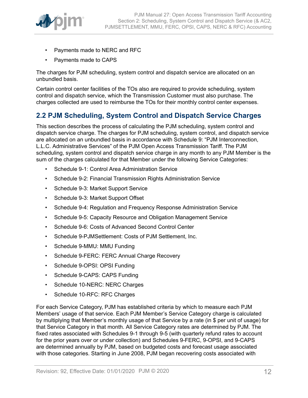

- Payments made to NERC and RFC
- Payments made to CAPS

The charges for PJM scheduling, system control and dispatch service are allocated on an unbundled basis.

Certain control center facilities of the TOs also are required to provide scheduling, system control and dispatch service, which the Transmission Customer must also purchase. The charges collected are used to reimburse the TOs for their monthly control center expenses.

### <span id="page-11-0"></span>**2.2 PJM Scheduling, System Control and Dispatch Service Charges**

This section describes the process of calculating the PJM scheduling, system control and dispatch service charge. The charges for PJM scheduling, system control, and dispatch service are allocated on an unbundled basis in accordance with Schedule 9: "PJM Interconnection, L.L.C. Administrative Services" of the PJM Open Access Transmission Tariff. The PJM scheduling, system control and dispatch service charge in any month to any PJM Member is the sum of the charges calculated for that Member under the following Service Categories:

- Schedule 9-1: Control Area Administration Service
- Schedule 9-2: Financial Transmission Rights Administration Service
- Schedule 9-3: Market Support Service
- Schedule 9-3: Market Support Offset
- Schedule 9-4: Regulation and Frequency Response Administration Service
- Schedule 9-5: Capacity Resource and Obligation Management Service
- Schedule 9-6: Costs of Advanced Second Control Center
- Schedule 9-PJMSettlement: Costs of PJM Settlement, Inc.
- Schedule 9-MMU: MMU Funding
- Schedule 9-FERC: FERC Annual Charge Recovery
- Schedule 9-OPSI: OPSI Funding
- Schedule 9-CAPS: CAPS Funding
- Schedule 10-NERC: NERC Charges
- Schedule 10-RFC: RFC Charges

For each Service Category, PJM has established criteria by which to measure each PJM Members' usage of that service. Each PJM Member's Service Category charge is calculated by multiplying that Member's monthly usage of that Service by a rate (in \$ per unit of usage) for that Service Category in that month. All Service Category rates are determined by PJM. The fixed rates associated with Schedules 9-1 through 9-5 (with quarterly refund rates to account for the prior years over or under collection) and Schedules 9-FERC, 9-OPSI, and 9-CAPS are determined annually by PJM, based on budgeted costs and forecast usage associated with those categories. Starting in June 2008, PJM began recovering costs associated with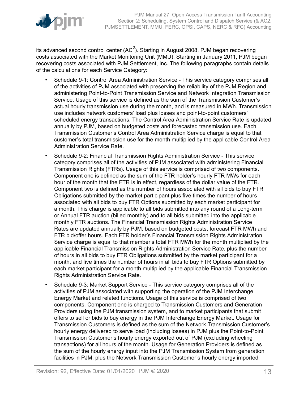

its advanced second control center (AC<sup>2</sup>). Starting in August 2008, PJM began recovering costs associated with the Market Monitoring Unit (MMU). Starting in January 2011, PJM began recovering costs associated with PJM Settlement, Inc. The following paragraphs contain details of the calculations for each Service Category:

- Schedule 9-1: Control Area Administration Service This service category comprises all of the activities of PJM associated with preserving the reliability of the PJM Region and administering Point-to-Point Transmission Service and Network Integration Transmission Service. Usage of this service is defined as the sum of the Transmission Customer's actual hourly transmission use during the month, and is measured in MWh. Transmission use includes network customers' load plus losses and point-to-point customers' scheduled energy transactions. The Control Area Administration Service Rate is updated annually by PJM, based on budgeted costs and forecasted transmission use. Each Transmission Customer's Control Area Administration Service charge is equal to that customer's total transmission use for the month multiplied by the applicable Control Area Administration Service Rate.
- Schedule 9-2: Financial Transmission Rights Administration Service This service category comprises all of the activities of PJM associated with administering Financial Transmission Rights (FTRs). Usage of this service is comprised of two components. Component one is defined as the sum of the FTR holder's hourly FTR MWs for each hour of the month that the FTR is in effect, regardless of the dollar value of the FTR. Component two is defined as the number of hours associated with all bids to buy FTR Obligations submitted by the market participant plus five times the number of hours associated with all bids to buy FTR Options submitted by each market participant for a month. This charge is applicable to all bids submitted into any round of a Long-term or Annual FTR auction (billed monthly) and to all bids submitted into the applicable monthly FTR auctions. The Financial Transmission Rights Administration Service Rates are updated annually by PJM, based on budgeted costs, forecast FTR MWh and FTR bid/offer hours. Each FTR holder's Financial Transmission Rights Administration Service charge is equal to that member's total FTR MWh for the month multiplied by the applicable Financial Transmission Rights Administration Service Rate, plus the number of hours in all bids to buy FTR Obligations submitted by the market participant for a month, and five times the number of hours in all bids to buy FTR Options submitted by each market participant for a month multiplied by the applicable Financial Transmission Rights Administration Service Rate.
- Schedule 9-3: Market Support Service This service category comprises all of the activities of PJM associated with supporting the operation of the PJM Interchange Energy Market and related functions. Usage of this service is comprised of two components. Component one is charged to Transmission Customers and Generation Providers using the PJM transmission system, and to market participants that submit offers to sell or bids to buy energy in the PJM Interchange Energy Market. Usage for Transmission Customers is defined as the sum of the Network Transmission Customer's hourly energy delivered to serve load (including losses) in PJM plus the Point-to-Point Transmission Customer's hourly energy exported out of PJM (excluding wheeling transactions) for all hours of the month. Usage for Generation Providers is defined as the sum of the hourly energy input into the PJM Transmission System from generation facilities in PJM, plus the Network Transmission Customer's hourly energy imported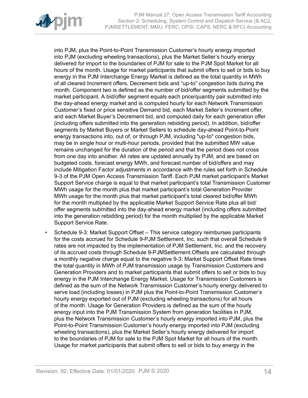

into PJM, plus the Point-to-Point Transmission Customer's hourly energy imported into PJM (excluding wheeling transactions), plus the Market Seller's hourly energy delivered for import to the boundaries of PJM for sale to the PJM Spot Market for all hours of the month. Usage for market participants that submit offers to sell or bids to buy energy in the PJM Interchange Energy Market is defined as the total quantity in MWh of all cleared Increment offers, Decrement bids and "up-to" congestion bids during the month. Component two is defined as the number of bid/offer segments submitted by the market participant. A bid/offer segment equals each price/quantity pair submitted into the day-ahead energy market and is computed hourly for each Network Transmission Customer's fixed or price sensitive Demand bid, each Market Seller's Increment offer, and each Market Buyer's Decrement bid, and computed daily for each generation offer (including offers submitted into the generation rebidding period). In addition, bid/offer segments by Market Buyers or Market Sellers to schedule day-ahead Point-to-Point energy transactions into, out of, or through PJM, including "up-to" congestion bids, may be in single hour or multi-hour periods, provided that the submitted MW value remains unchanged for the duration of the period and that the period does not cross from one day into another. All rates are updated annually by PJM, and are based on budgeted costs, forecast energy MWh, and forecast number of bid/offers and may include Mitigation Factor adjustments in accordance with the rules set forth in Schedule 9-3 of the PJM Open Access Transmission Tariff. Each PJM market participant's Market Support Service charge is equal to that market participant's total Transmission Customer MWh usage for the month plus that market participant's total Generation Provider MWh usage for the month plus that market participant's total cleared bid/offer MWh for the month multiplied by the applicable Market Support Service Rate plus all bid/ offer segments submitted into the day-ahead energy market (including offers submitted into the generation rebidding period) for the month multiplied by the applicable Market Support Service Rate.

• Schedule 9-3: Market Support Offset *–* This service category reimburses participants for the costs accrued for Schedule 9-PJM Settlement, Inc. such that overall Schedule 9 rates are not impacted by the implementation of PJM Settlement, Inc. and the recovery of its accrued costs through Schedule 9-PJMSettlement.Offsets are calculated through a monthly negative charge equal to the negative 9-3: Market Support Offset Rate times the total quantity in MWh of PJM transmission usage by Transmission Customers and Generation Providers and to market participants that submit offers to sell or bids to buy energy in the PJM Interchange Energy Market. Usage for Transmission Customers is defined as the sum of the Network Transmission Customer's hourly energy delivered to serve load (including losses) in PJM plus the Point-to-Point Transmission Customer's hourly energy exported out of PJM (excluding wheeling transactions) for all hours of the month. Usage for Generation Providers is defined as the sum of the hourly energy input into the PJM Transmission System from generation facilities in PJM, plus the Network Transmission Customer's hourly energy imported into PJM, plus the Point-to-Point Transmission Customer's hourly energy imported into PJM (excluding wheeling transactions), plus the Market Seller's hourly energy delivered for import to the boundaries of PJM for sale to the PJM Spot Market for all hours of the month. Usage for market participants that submit offers to sell or bids to buy energy in the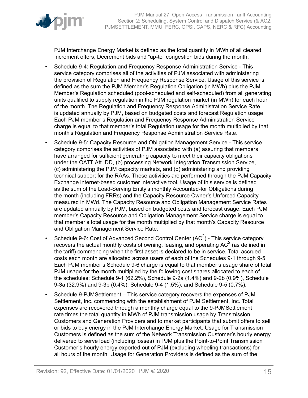

PJM Interchange Energy Market is defined as the total quantity in MWh of all cleared Increment offers, Decrement bids and "up-to" congestion bids during the month.

- Schedule 9-4: Regulation and Frequency Response Administration Service This service category comprises all of the activities of PJM associated with administering the provision of Regulation and Frequency Response Service. Usage of this service is defined as the sum the PJM Member's Regulation Obligation (in MWh) plus the PJM Member's Regulation scheduled (pool-scheduled and self-scheduled) from all generating units qualified to supply regulation in the PJM regulation market (in MWh) for each hour of the month. The Regulation and Frequency Response Administration Service Rate is updated annually by PJM, based on budgeted costs and forecast Regulation usage Each PJM member's Regulation and Frequency Response Administration Service charge is equal to that member's total Regulation usage for the month multiplied by that month's Regulation and Frequency Response Administration Service Rate.
- Schedule 9-5: Capacity Resource and Obligation Management Service This service category comprises the activities of PJM associated with (a) assuring that members have arranged for sufficient generating capacity to meet their capacity obligations under the OATT Att. DD, (b) processing Network Integration Transmission Service, (c) administering the PJM capacity markets, and (d) administering and providing technical support for the RAAs. These activities are performed through the PJM Capacity Exchange internet-based customer interactive tool. Usage of this service is defined as the sum of the Load-Serving Entity's monthly Accounted-for Obligations during the month (including FRRs) and the Capacity Resource Owner's Unforced Capacity measured in MWd. The Capacity Resource and Obligation Management Service Rates are updated annually by PJM, based on budgeted costs and forecast usage. Each PJM member's Capacity Resource and Obligation Management Service charge is equal to that member's total usage for the month multiplied by that month's Capacity Resource and Obligation Management Service Rate.
- Schedule 9-6: Cost of Advanced Second Control Center (AC<sup>2</sup>) This service category recovers the actual monthly costs of owning, leasing, and operating AC<sup>2</sup> (as defined in the tariff) commencing when the first asset is declared to be in service. Total accrued costs each month are allocated across users of each of the Schedules 9-1 through 9-5. Each PJM member's Schedule 9-6 charge is equal to that member's usage share of total PJM usage for the month multiplied by the following cost shares allocated to each of the schedules: Schedule 9-1 (62.2%), Schedule 9-2a (1.4%) and 9-2b (0.9%), Schedule 9-3a (32.9%) and 9-3b (0.4%), Schedule 9-4 (1.5%), and Schedule 9-5 (0.7%).
- Schedule 9-PJMSettlementThis service category recovers the expenses of PJM Settlement, Inc. commencing with the establishment of PJM Settlement, Inc. Total expenses are recovered through a monthly charge equal to the 9-PJMSettlement rate times the total quantity in MWh of PJM transmission usage by Transmission Customers and Generation Providers and to market participants that submit offers to sell or bids to buy energy in the PJM Interchange Energy Market. Usage for Transmission Customers is defined as the sum of the Network Transmission Customer's hourly energy delivered to serve load (including losses) in PJM plus the Point-to-Point Transmission Customer's hourly energy exported out of PJM (excluding wheeling transactions) for all hours of the month. Usage for Generation Providers is defined as the sum of the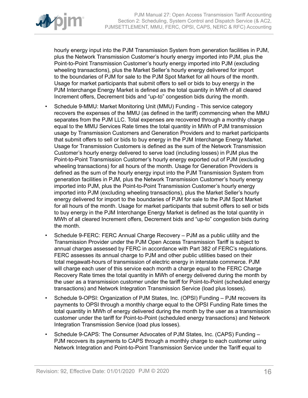

hourly energy input into the PJM Transmission System from generation facilities in PJM, plus the Network Transmission Customer's hourly energy imported into PJM, plus the Point-to-Point Transmission Customer's hourly energy imported into PJM (excluding wheeling transactions), plus the Market Seller's hourly energy delivered for import to the boundaries of PJM for sale to the PJM Spot Market for all hours of the month. Usage for market participants that submit offers to sell or bids to buy energy in the PJM Interchange Energy Market is defined as the total quantity in MWh of all cleared Increment offers, Decrement bids and "up-to" congestion bids during the month.

- Schedule 9-MMU: Market Monitoring Unit (MMU) Funding This service category recovers the expenses of the MMU (as defined in the tariff) commencing when the MMU separates from the PJM LLC. Total expenses are recovered through a monthly charge equal to the MMU Services Rate times the total quantity in MWh of PJM transmission usage by Transmission Customers and Generation Providers and to market participants that submit offers to sell or bids to buy energy in the PJM Interchange Energy Market. Usage for Transmission Customers is defined as the sum of the Network Transmission Customer's hourly energy delivered to serve load (including losses) in PJM plus the Point-to-Point Transmission Customer's hourly energy exported out of PJM (excluding wheeling transactions) for all hours of the month. Usage for Generation Providers is defined as the sum of the hourly energy input into the PJM Transmission System from generation facilities in PJM, plus the Network Transmission Customer's hourly energy imported into PJM, plus the Point-to-Point Transmission Customer's hourly energy imported into PJM (excluding wheeling transactions), plus the Market Seller's hourly energy delivered for import to the boundaries of PJM for sale to the PJM Spot Market for all hours of the month. Usage for market participants that submit offers to sell or bids to buy energy in the PJM Interchange Energy Market is defined as the total quantity in MWh of all cleared Increment offers, Decrement bids and "up-to" congestion bids during the month.
- Schedule 9-FERC: FERC Annual Charge Recovery PJM as a public utility and the Transmission Provider under the PJM Open Access Transmission Tariff is subject to annual charges assessed by FERC in accordance with Part 382 of FERC's regulations. FERC assesses its annual charge to PJM and other public utilities based on their total megawatt-hours of transmission of electric energy in interstate commerce. PJM will charge each user of this service each month a charge equal to the FERC Charge Recovery Rate times the total quantity in MWh of energy delivered during the month by the user as a transmission customer under the tariff for Point-to-Point (scheduled energy transactions) and Network Integration Transmission Service (load plus losses).
- Schedule 9-OPSI: Organization of PJM States, Inc. (OPSI) Funding PJM recovers its payments to OPSI through a monthly charge equal to the OPSI Funding Rate times the total quantity in MWh of energy delivered during the month by the user as a transmission customer under the tariff for Point-to-Point (scheduled energy transactions) and Network Integration Transmission Service (load plus losses).
- Schedule 9-CAPS: The Consumer Advocates of PJM States, Inc. (CAPS) Funding PJM recovers its payments to CAPS through a monthly charge to each customer using Network Integration and Point-to-Point Transmission Service under the Tariff equal to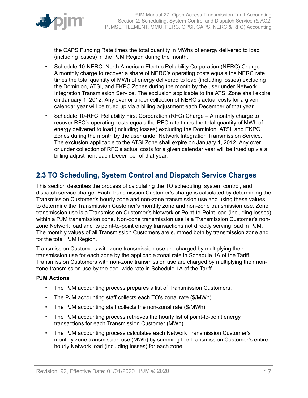

the CAPS Funding Rate times the total quantity in MWhs of energy delivered to load (including losses) in the PJM Region during the month.

- Schedule 10-NERC: North American Electric Reliability Corporation (NERC) Charge A monthly charge to recover a share of NERC's operating costs equals the NERC rate times the total quantity of MWh of energy delivered to load (including losses) excluding the Dominion, ATSI, and EKPC Zones during the month by the user under Network Integration Transmission Service. The exclusion applicable to the ATSI Zone shall expire on January 1, 2012. Any over or under collection of NERC's actual costs for a given calendar year will be trued up via a billing adjustment each December of that year.
- Schedule 10-RFC: Reliability First Corporation (RFC) Charge A monthly charge to recover RFC's operating costs equals the RFC rate times the total quantity of MWh of energy delivered to load (including losses) excluding the Dominion, ATSI, and EKPC Zones during the month by the user under Network Integration Transmission Service. The exclusion applicable to the ATSI Zone shall expire on January 1, 2012. Any over or under collection of RFC's actual costs for a given calendar year will be trued up via a billing adjustment each December of that year.

### <span id="page-16-0"></span>**2.3 TO Scheduling, System Control and Dispatch Service Charges**

This section describes the process of calculating the TO scheduling, system control, and dispatch service charge. Each Transmission Customer's charge is calculated by determining the Transmission Customer's hourly zone and non-zone transmission use and using these values to determine the Transmission Customer's monthly zone and non-zone transmission use. Zone transmission use is a Transmission Customer's Network or Point-to-Point load (including losses) within a PJM transmission zone. Non-zone transmission use is a Transmission Customer's nonzone Network load and its point-to-point energy transactions not directly serving load in PJM. The monthly values of all Transmission Customers are summed both by transmission zone and for the total PJM Region.

Transmission Customers with zone transmission use are charged by multiplying their transmission use for each zone by the applicable zonal rate in Schedule 1A of the Tariff. Transmission Customers with non-zone transmission use are charged by multiplying their nonzone transmission use by the pool-wide rate in Schedule 1A of the Tariff.

#### **PJM Actions**

- The PJM accounting process prepares a list of Transmission Customers.
- The PJM accounting staff collects each TO's zonal rate (\$/MWh).
- The PJM accounting staff collects the non-zonal rate (\$/MWh).
- The PJM accounting process retrieves the hourly list of point-to-point energy transactions for each Transmission Customer (MWh).
- The PJM accounting process calculates each Network Transmission Customer's monthly zone transmission use (MWh) by summing the Transmission Customer's entire hourly Network load (including losses) for each zone.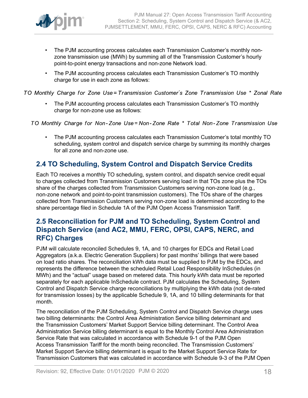

- The PJM accounting process calculates each Transmission Customer's monthly nonzone transmission use (MWh) by summing all of the Transmission Customer's hourly point-to-point energy transactions and non-zone Network load.
- The PJM accounting process calculates each Transmission Customer's TO monthly charge for use in each zone as follows:

TO Monthly Charge for Zone Use=Transmission Customer's Zone Transmission Use \* Zonal Rate

• The PJM accounting process calculates each Transmission Customer's TO monthly charge for non-zone use as follows:

TO Monthly Charge for Non-Zone Use=Non-Zone Rate \* Total Non-Zone Transmission Use

• The PJM accounting process calculates each Transmission Customer's total monthly TO scheduling, system control and dispatch service charge by summing its monthly charges for all zone and non-zone use.

### <span id="page-17-0"></span>**2.4 TO Scheduling, System Control and Dispatch Service Credits**

Each TO receives a monthly TO scheduling, system control, and dispatch service credit equal to charges collected from Transmission Customers serving load in that TOs zone plus the TOs share of the charges collected from Transmission Customers serving non-zone load (e.g., non-zone network and point-to-point transmission customers). The TOs share of the charges collected from Transmission Customers serving non-zone load is determined according to the share percentage filed in Schedule 1A of the PJM Open Access Transmission Tariff.

### <span id="page-17-1"></span>**2.5 Reconciliation for PJM and TO Scheduling, System Control and Dispatch Service (and AC2, MMU, FERC, OPSI, CAPS, NERC, and RFC) Charges**

PJM will calculate reconciled Schedules 9, 1A, and 10 charges for EDCs and Retail Load Aggregators (a.k.a. Electric Generation Suppliers) for past months' billings that were based on load ratio shares. The reconciliation kWh data must be supplied to PJM by the EDCs, and represents the difference between the scheduled Retail Load Responsibility InSchedules (in MWh) and the "actual" usage based on metered data. This hourly kWh data must be reported separately for each applicable InSchedule contract. PJM calculates the Scheduling, System Control and Dispatch Service charge reconciliations by multiplying the kWh data (not de-rated for transmission losses) by the applicable Schedule 9, 1A, and 10 billing determinants for that month.

The reconciliation of the PJM Scheduling, System Control and Dispatch Service charge uses two billing determinants: the Control Area Administration Service billing determinant and the Transmission Customers' Market Support Service billing determinant. The Control Area Administration Service billing determinant is equal to the Monthly Control Area Administration Service Rate that was calculated in accordance with Schedule 9-1 of the PJM Open Access Transmission Tariff for the month being reconciled. The Transmission Customers' Market Support Service billing determinant is equal to the Market Support Service Rate for Transmission Customers that was calculated in accordance with Schedule 9-3 of the PJM Open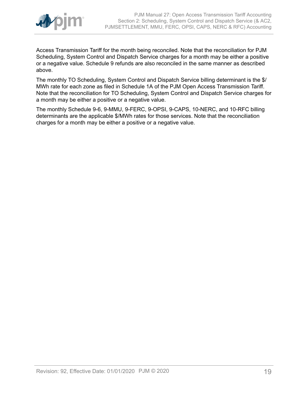

Access Transmission Tariff for the month being reconciled. Note that the reconciliation for PJM Scheduling, System Control and Dispatch Service charges for a month may be either a positive or a negative value. Schedule 9 refunds are also reconciled in the same manner as described above.

The monthly TO Scheduling, System Control and Dispatch Service billing determinant is the \$/ MWh rate for each zone as filed in Schedule 1A of the PJM Open Access Transmission Tariff. Note that the reconciliation for TO Scheduling, System Control and Dispatch Service charges for a month may be either a positive or a negative value.

The monthly Schedule 9-6, 9-MMU, 9-FERC, 9-OPSI, 9-CAPS, 10-NERC, and 10-RFC billing determinants are the applicable \$/MWh rates for those services. Note that the reconciliation charges for a month may be either a positive or a negative value.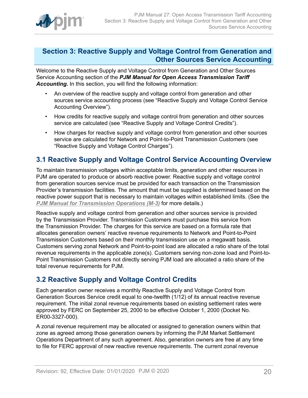

### <span id="page-19-0"></span>**Section 3: Reactive Supply and Voltage Control from Generation and Other Sources Service Accounting**

Welcome to the Reactive Supply and Voltage Control from Generation and Other Sources Service Accounting section of the *PJM Manual for Open Access Transmission Tariff Accounting.* In this section, you will find the following information:

- An overview of the reactive supply and voltage control from generation and other sources service accounting process (see "Reactive Supply and Voltage Control Service Accounting Overview").
- How credits for reactive supply and voltage control from generation and other sources service are calculated (see "Reactive Supply and Voltage Control Credits").
- How charges for reactive supply and voltage control from generation and other sources service are calculated for Network and Point-to-Point Transmission Customers (see "Reactive Supply and Voltage Control Charges").

### <span id="page-19-1"></span>**3.1 Reactive Supply and Voltage Control Service Accounting Overview**

To maintain transmission voltages within acceptable limits, generation and other resources in PJM are operated to produce or absorb reactive power. Reactive supply and voltage control from generation sources service must be provided for each transaction on the Transmission Provider's transmission facilities. The amount that must be supplied is determined based on the reactive power support that is necessary to maintain voltages within established limits. (See the *PJM Manual for [Transmission](http://www.pjm.com/~/media/documents/manuals/m03.ashx) Operations (M-3)* for more details.)

Reactive supply and voltage control from generation and other sources service is provided by the Transmission Provider. Transmission Customers must purchase this service from the Transmission Provider. The charges for this service are based on a formula rate that allocates generation owners' reactive revenue requirements to Network and Point-to-Point Transmission Customers based on their monthly transmission use on a megawatt basis. Customers serving zonal Network and Point-to-point load are allocated a ratio share of the total revenue requirements in the applicable zone(s). Customers serving non-zone load and Point-to-Point Transmission Customers not directly serving PJM load are allocated a ratio share of the total revenue requirements for PJM.

### <span id="page-19-2"></span>**3.2 Reactive Supply and Voltage Control Credits**

Each generation owner receives a monthly Reactive Supply and Voltage Control from Generation Sources Service credit equal to one-twelfth (1/12) of its annual reactive revenue requirement. The initial zonal revenue requirements based on existing settlement rates were approved by FERC on September 25, 2000 to be effective October 1, 2000 (Docket No. ER00-3327-000).

A zonal revenue requirement may be allocated or assigned to generation owners within that zone as agreed among those generation owners by informing the PJM Market Settlement Operations Department of any such agreement. Also, generation owners are free at any time to file for FERC approval of new reactive revenue requirements. The current zonal revenue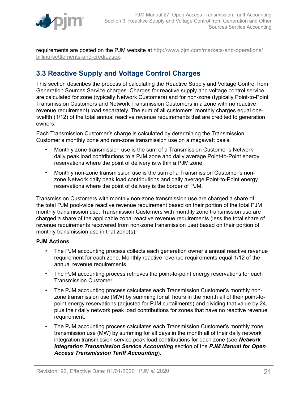

requirements are posted on the PJM website at [http://www.pjm.com/markets-and-operations/](http://www.pjm.com/markets-and-operations/billing-settlements-and-credit.aspx) [billing-settlements-and-credit.aspx.](http://www.pjm.com/markets-and-operations/billing-settlements-and-credit.aspx)

### <span id="page-20-0"></span>**3.3 Reactive Supply and Voltage Control Charges**

This section describes the process of calculating the Reactive Supply and Voltage Control from Generation Sources Service charges. Charges for reactive supply and voltage control service are calculated for zone (typically Network Customers) and for non-zone (typically Point-to-Point Transmission Customers and Network Transmission Customers in a zone with no reactive revenue requirement) load separately. The sum of all customers' monthly charges equal onetwelfth (1/12) of the total annual reactive revenue requirements that are credited to generation owners.

Each Transmission Customer's charge is calculated by determining the Transmission Customer's monthly zone and non-zone transmission use on a megawatt basis.

- Monthly zone transmission use is the sum of a Transmission Customer's Network daily peak load contributions to a PJM zone and daily average Point-to-Point energy reservations where the point of delivery is within a PJM zone.
- Monthly non-zone transmission use is the sum of a Transmission Customer's nonzone Network daily peak load contributions and daily average Point-to-Point energy reservations where the point of delivery is the border of PJM.

Transmission Customers with monthly non-zone transmission use are charged a share of the total PJM pool-wide reactive revenue requirement based on their portion of the total PJM monthly transmission use. Transmission Customers with monthly zone transmission use are charged a share of the applicable zonal reactive revenue requirements (less the total share of revenue requirements recovered from non-zone transmission use) based on their portion of monthly transmission use in that zone(s).

#### **PJM Actions**

- The PJM accounting process collects each generation owner's annual reactive revenue requirement for each zone. Monthly reactive revenue requirements equal 1/12 of the annual revenue requirements.
- The PJM accounting process retrieves the point-to-point energy reservations for each Transmission Customer.
- The PJM accounting process calculates each Transmission Customer's monthly nonzone transmission use (MW) by summing for all hours in the month all of their point-topoint energy reservations (adjusted for PJM curtailments) and dividing that value by 24, plus their daily network peak load contributions for zones that have no reactive revenue requirement.
- The PJM accounting process calculates each Transmission Customer's monthly zone transmission use (MW) by summing for all days in the month all of their daily network integration transmission service peak load contributions for each zone (see *Network Integration Transmission Service Accounting* section of the *PJM Manual for Open Access Transmission Tariff Accounting*).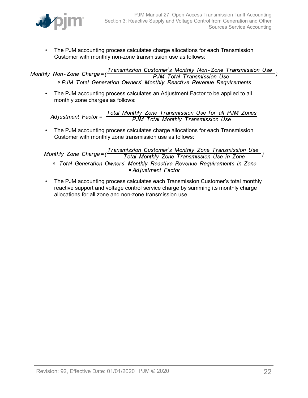

• The PJM accounting process calculates charge allocations for each Transmission Customer with monthly non-zone transmission use as follows:

Transmission Customer's Monthly Non-Zone Transmission Use Monthly Non-Zone Charge=( **PJM Total Transmission Use** × PJM Total Generation Owners' Monthly Reactive Revenue Requirements

• The PJM accounting process calculates an Adjustment Factor to be applied to all monthly zone charges as follows:

Total Monthly Zone Transmission Use for all PJM Zones<br>PJM Total Monthly Transmission Use Adjustment  $Factor =$ 

• The PJM accounting process calculates charge allocations for each Transmission Customer with monthly zone transmission use as follows:

Transmission Customer's Monthly Zone Transmission Use Monthly Zone Charge= $($ Total Monthly Zone Transmission Use in Zone x Total Generation Owners' Monthly Reactive Revenue Requirements in Zone × Adjustment Factor

• The PJM accounting process calculates each Transmission Customer's total monthly reactive support and voltage control service charge by summing its monthly charge allocations for all zone and non-zone transmission use.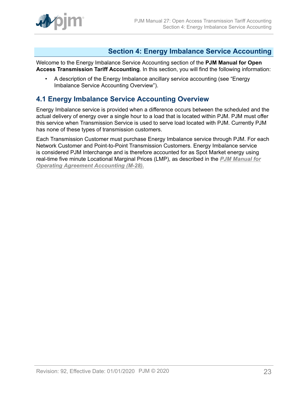

### <span id="page-22-0"></span>**Section 4: Energy Imbalance Service Accounting**

Welcome to the Energy Imbalance Service Accounting section of the **PJM Manual for Open Access Transmission Tariff Accounting**. In this section, you will find the following information:

• A description of the Energy Imbalance ancillary service accounting (see "Energy Imbalance Service Accounting Overview").

### <span id="page-22-1"></span>**4.1 Energy Imbalance Service Accounting Overview**

Energy Imbalance service is provided when a difference occurs between the scheduled and the actual delivery of energy over a single hour to a load that is located within PJM. PJM must offer this service when Transmission Service is used to serve load located with PJM. Currently PJM has none of these types of transmission customers.

Each Transmission Customer must purchase Energy Imbalance service through PJM. For each Network Customer and Point-to-Point Transmission Customers. Energy Imbalance service is considered PJM Interchange and is therefore accounted for as Spot Market energy using real-time five minute Locational Marginal Prices (LMP), as described in the *[PJM Manual for](http://www.pjm.com/~/media/documents/manuals/m28.ashx) [Operating Agreement Accounting \(M-28\).](http://www.pjm.com/~/media/documents/manuals/m28.ashx)*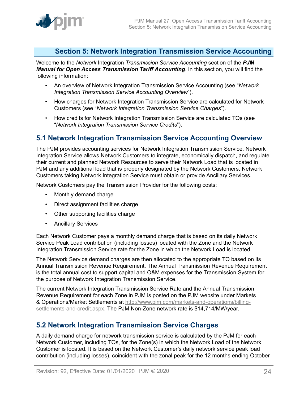

### <span id="page-23-0"></span>**Section 5: Network Integration Transmission Service Accounting**

Welcome to the *Network* Integration *Transmission Service Accounting* section of the *PJM Manual for Open Access Transmission Tariff Accounting*. In this section, you will find the following information:

- An overview of Network Integration Transmission Service Accounting (see "*Network Integration Transmission Service Accounting Overview*").
- How charges for Network Integration Transmission Service are calculated for Network Customers (see "*Network Integration Transmission Service Charges*").
- How credits for Network Integration Transmission Service are calculated TOs (see "*Network Integration Transmission Service Credits*").

### <span id="page-23-1"></span>**5.1 Network Integration Transmission Service Accounting Overview**

The PJM provides accounting services for Network Integration Transmission Service. Network Integration Service allows Network Customers to integrate, economically dispatch, and regulate their current and planned Network Resources to serve their Network Load that is located in PJM and any additional load that is properly designated by the Network Customers. Network Customers taking Network Integration Service must obtain or provide Ancillary Services.

Network Customers pay the Transmission Provider for the following costs:

- Monthly demand charge
- Direct assignment facilities charge
- Other supporting facilities charge
- Ancillary Services

Each Network Customer pays a monthly demand charge that is based on its daily Network Service Peak Load contribution (including losses) located with the Zone and the Network Integration Transmission Service rate for the Zone in which the Network Load is located.

The Network Service demand charges are then allocated to the appropriate TO based on its Annual Transmission Revenue Requirement. The Annual Transmission Revenue Requirement is the total annual cost to support capital and O&M expenses for the Transmission System for the purpose of Network Integration Transmission Service.

The current Network Integration Transmission Service Rate and the Annual Transmission Revenue Requirement for each Zone in PJM is posted on the PJM website under Markets & Operations/Market Settlements at [http://www.pjm.com/markets-and-operations/billing](http://www.pjm.com/markets-and-operations/billing-settlements-and-credit.aspx)[settlements-and-credit.aspx](http://www.pjm.com/markets-and-operations/billing-settlements-and-credit.aspx). The PJM Non-Zone network rate is \$14,714/MW/year.

### <span id="page-23-2"></span>**5.2 Network Integration Transmission Service Charges**

A daily demand charge for network transmission service is calculated by the PJM for each Network Customer, including TOs, for the Zone(s) in which the Network Load of the Network Customer is located. It is based on the Network Customer's daily network service peak load contribution (including losses), coincident with the zonal peak for the 12 months ending October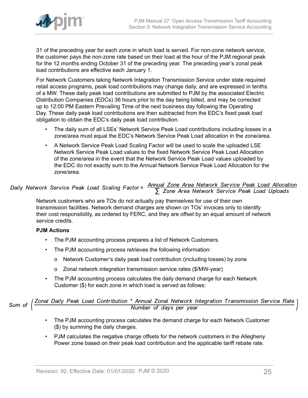

31 of the preceding year for each zone in which load is served. For non-zone network service, the customer pays the non-zone rate based on their load at the hour of the PJM regional peak for the 12 months ending October 31 of the preceding year. The preceding year's zonal peak load contributions are effective each January 1.

For Network Customers taking Network Integration Transmission Service under state required retail access programs, peak load contributions may change daily, and are expressed in tenths of a MW. These daily peak load contributions are submitted to PJM by the associated Electric Distribution Companies (EDCs) 36 hours prior to the day being billed, and may be corrected up to 12:00 PM Eastern Prevailing Time of the next business day following the Operating Day. These daily peak load contributions are then subtracted from the EDC's fixed peak load obligation to obtain the EDC's daily peak load contribution.

- The daily sum of all LSEs' Network Service Peak Load contributions including losses in a zone/area must equal the EDC's Network Service Peak Load allocation in the zone/area.
- A Network Service Peak Load Scaling Factor will be used to scale the uploaded LSE Network Service Peak Load values to the fixed Network Service Peak Load Allocation of the zone/area in the event that the Network Service Peak Load values uploaded by the EDC do not exactly sum to the Annual Network Service Peak Load Allocation for the zone/area.

# Daily Network Service Peak Load Scaling Factor =  $\frac{\text{Annual} \text{ zone Area Network Service Peak Load Allocation}}{\sum \text{ zone Area Network Service Peak Load Uploads}}$

Network customers who are TOs do not actually pay themselves for use of their own transmission facilities. Network demand charges are shown on TOs' invoices only to identify their cost responsibility, as ordered by FERC, and they are offset by an equal amount of network service credits.

#### **PJM Actions**

- The PJM accounting process prepares a list of Network Customers.
- The PJM accounting process retrieves the following information:
	- o Network Customer's daily peak load contribution (including losses) by zone
	- o Zonal network integration transmission service rates (\$/MW-year)
- The PJM accounting process calculates the daily demand charge for each Network Customer (\$) for each zone in which load is served as follows:

Sum of  $\left(\frac{Zonal\ Daily\ Peak\ Load\ Continution\ *\ Annual\ Zonal\ Network\ Integration\ Transmission\ Service\ Rate}{Number\ of\ days\ per\ year}$ 

- The PJM accounting process calculates the demand charge for each Network Customer (\$) by summing the daily charges.
- PJM calculates the negative charge offsets for the network customers in the Allegheny Power zone based on their peak load contribution and the applicable tariff rebate rate.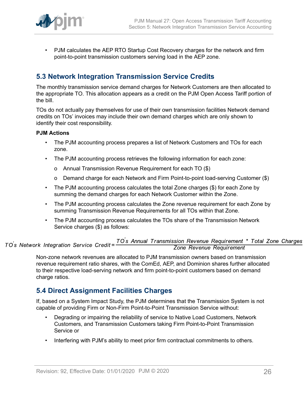

• PJM calculates the AEP RTO Startup Cost Recovery charges for the network and firm point-to-point transmission customers serving load in the AEP zone.

### <span id="page-25-0"></span>**5.3 Network Integration Transmission Service Credits**

The monthly transmission service demand charges for Network Customers are then allocated to the appropriate TO. This allocation appears as a credit on the PJM Open Access Tariff portion of the bill.

TOs do not actually pay themselves for use of their own transmission facilities Network demand credits on TOs' invoices may include their own demand charges which are only shown to identify their cost responsibility.

#### **PJM Actions**

- The PJM accounting process prepares a list of Network Customers and TOs for each zone.
- The PJM accounting process retrieves the following information for each zone:
	- o Annual Transmission Revenue Requirement for each TO (\$)
	- o Demand charge for each Network and Firm Point-to-point load-serving Customer (\$)
- The PJM accounting process calculates the total Zone charges (\$) for each Zone by summing the demand charges for each Network Customer within the Zone.
- The PJM accounting process calculates the Zone revenue requirement for each Zone by summing Transmission Revenue Requirements for all TOs within that Zone.
- The PJM accounting process calculates the TOs share of the Transmission Network Service charges (\$) as follows:

#### TO's Annual Transmission Revenue Requirement \* Total Zone Charges<br>Zone Revenue Requirement TO's Network Integration Service Credit=

Non-zone network revenues are allocated to PJM transmission owners based on transmission revenue requirement ratio shares, with the ComEd, AEP, and Dominion shares further allocated to their respective load-serving network and firm point-to-point customers based on demand charge ratios.

### <span id="page-25-1"></span>**5.4 Direct Assignment Facilities Charges**

If, based on a System Impact Study, the PJM determines that the Transmission System is not capable of providing Firm or Non-Firm Point-to-Point Transmission Service without:

- Degrading or impairing the reliability of service to Native Load Customers, Network Customers, and Transmission Customers taking Firm Point-to-Point Transmission Service or
- Interfering with PJM's ability to meet prior firm contractual commitments to others.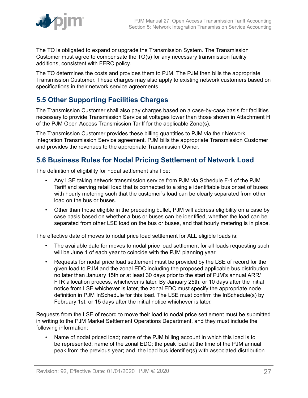

The TO is obligated to expand or upgrade the Transmission System. The Transmission Customer must agree to compensate the TO(s) for any necessary transmission facility additions, consistent with FERC policy.

The TO determines the costs and provides them to PJM. The PJM then bills the appropriate Transmission Customer. These charges may also apply to existing network customers based on specifications in their network service agreements.

### <span id="page-26-0"></span>**5.5 Other Supporting Facilities Charges**

The Transmission Customer shall also pay charges based on a case-by-case basis for facilities necessary to provide Transmission Service at voltages lower than those shown in Attachment H of the PJM Open Access Transmission Tariff for the applicable Zone(s).

The Transmission Customer provides these billing quantities to PJM via their Network Integration Transmission Service agreement. PJM bills the appropriate Transmission Customer and provides the revenues to the appropriate Transmission Owner.

### <span id="page-26-1"></span>**5.6 Business Rules for Nodal Pricing Settlement of Network Load**

The definition of eligibility for nodal settlement shall be:

- Any LSE taking network transmission service from PJM via Schedule F-1 of the PJM Tariff and serving retail load that is connected to a single identifiable bus or set of buses with hourly metering such that the customer's load can be clearly separated from other load on the bus or buses.
- Other than those eligible in the preceding bullet, PJM will address eligibility on a case by case basis based on whether a bus or buses can be identified, whether the load can be separated from other LSE load on the bus or buses, and that hourly metering is in place.

The effective date of moves to nodal price load settlement for ALL eligible loads is:

- The available date for moves to nodal price load settlement for all loads requesting such will be June 1 of each year to coincide with the PJM planning year.
- Requests for nodal price load settlement must be provided by the LSE of record for the given load to PJM and the zonal EDC including the proposed applicable bus distribution no later than January 15th or at least 30 days prior to the start of PJM's annual ARR/ FTR allocation process, whichever is later. By January 25th, or 10 days after the initial notice from LSE whichever is later, the zonal EDC must specify the appropriate node definition in PJM InSchedule for this load. The LSE must confirm the InSchedule(s) by February 1st, or 15 days after the initial notice whichever is later.

Requests from the LSE of record to move their load to nodal price settlement must be submitted in writing to the PJM Market Settlement Operations Department, and they must include the following information:

• Name of nodal priced load; name of the PJM billing account in which this load is to be represented; name of the zonal EDC; the peak load at the time of the PJM annual peak from the previous year; and, the load bus identifier(s) with associated distribution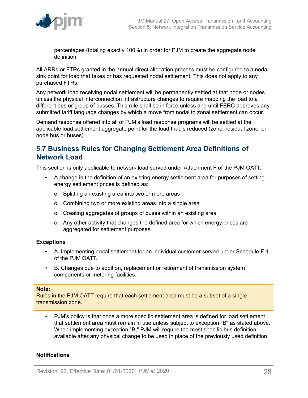

percentages (totaling exactly 100%) in order for PJM to create the aggregate node definition.

All ARRs or FTRs granted in the annual direct allocation process must be configured to a nodal sink point for load that takes or has requested nodal settlement. This does not apply to any purchased FTRs.

Any network load receiving nodal settlement will be permanently settled at that node or nodes unless the physical interconnection infrastructure changes to require mapping the load to a different bus or group of busses. This rule shall be in force unless and until FERC approves any submitted tariff language changes by which a move from nodal to zonal settlement can occur.

Demand response offered into all of PJM's load response programs will be settled at the applicable load settlement aggregate point for the load that is reduced (zone, residual zone, or node bus or buses).

### <span id="page-27-0"></span>**5.7 Business Rules for Changing Settlement Area Definitions of Network Load**

This section is only applicable to network load served under Attachment F of the PJM OATT.

- A change in the definition of an existing energy settlement area for purposes of setting energy settlement prices is defined as:
	- o Splitting an existing area into two or more areas
	- o Combining two or more existing areas into a single area
	- o Creating aggregates of groups of buses within an existing area
	- o Any other activity that changes the defined area for which energy prices are aggregated for settlement purposes.

#### **Exceptions**

- A. Implementing nodal settlement for an individual customer served under Schedule F-1 of the PJM OATT.
- B. Changes due to addition, replacement or retirement of transmission system components or metering facilities.

#### **Note:**

Rules in the PJM OATT require that each settlement area must be a subset of a single transmission zone.

• PJM's policy is that once a more specific settlement area is defined for load settlement, that settlement area must remain in use unless subject to exception "B" as stated above. When implementing exception "B," PJM will require the most specific bus definition available after any physical change to be used in place of the previously used definition.

#### **Notifications**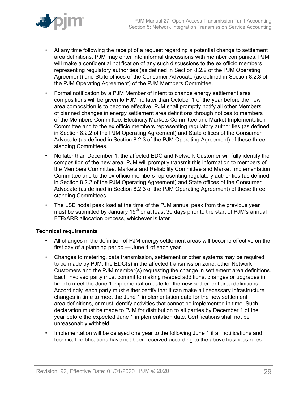

- At any time following the receipt of a request regarding a potential change to settlement area definitions, PJM may enter into informal discussions with member companies. PJM will make a confidential notification of any such discussions to the ex officio members representing regulatory authorities (as defined in Section 8.2.2 of the PJM Operating Agreement) and State offices of the Consumer Advocate (as defined in Section 8.2.3 of the PJM Operating Agreement) of the PJM Members Committee.
- Formal notification by a PJM Member of intent to change energy settlement area compositions will be given to PJM no later than October 1 of the year before the new area composition is to become effective. PJM shall promptly notify all other Members of planned changes in energy settlement area definitions through notices to members of the Members Committee, Electricity Markets Committee and Market Implementation Committee and to the ex officio members representing regulatory authorities (as defined in Section 8.2.2 of the PJM Operating Agreement) and State offices of the Consumer Advocate (as defined in Section 8.2.3 of the PJM Operating Agreement) of these three standing Committees.
- No later than December 1, the affected EDC and Network Customer will fully identify the composition of the new area. PJM will promptly transmit this information to members of the Members Committee, Markets and Reliability Committee and Market Implementation Committee and to the ex officio members representing regulatory authorities (as defined in Section 8.2.2 of the PJM Operating Agreement) and State offices of the Consumer Advocate (as defined in Section 8.2.3 of the PJM Operating Agreement) of these three standing Committees.
- The LSE nodal peak load at the time of the PJM annual peak from the previous year must be submitted by January  $15<sup>th</sup>$  or at least 30 days prior to the start of PJM's annual FTR/ARR allocation process, whichever is later.

#### **Technical requirements**

- All changes in the definition of PJM energy settlement areas will become effective on the first day of a planning period --- June 1 of each year.
- Changes to metering, data transmission, settlement or other systems may be required to be made by PJM, the EDC(s) in the affected transmission zone, other Network Customers and the PJM member(s) requesting the change in settlement area definitions. Each involved party must commit to making needed additions, changes or upgrades in time to meet the June 1 implementation date for the new settlement area definitions. Accordingly, each party must either certify that it can make all necessary infrastructure changes in time to meet the June 1 implementation date for the new settlement area definitions, or must identify activities that cannot be implemented in time. Such declaration must be made to PJM for distribution to all parties by December 1 of the year before the expected June 1 implementation date. Certifications shall not be unreasonably withheld.
- Implementation will be delayed one year to the following June 1 if all notifications and technical certifications have not been received according to the above business rules.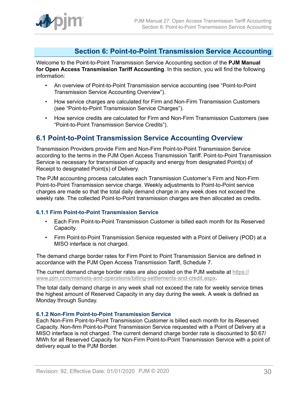### <span id="page-29-0"></span>**Section 6: Point-to-Point Transmission Service Accounting**

Welcome to the Point-to-Point Transmission Service Accounting section of the **PJM Manual for Open Access Transmission Tariff Accounting**. In this section, you will find the following information:

- An overview of Point-to-Point Transmission service accounting (see "Point-to-Point Transmission Service Accounting Overview").
- How service charges are calculated for Firm and Non-Firm Transmission Customers (see "Point-to-Point Transmission Service Charges").
- How service credits are calculated for Firm and Non-Firm Transmission Customers (see "Point-to-Point Transmission Service Credits").

### <span id="page-29-1"></span>**6.1 Point-to-Point Transmission Service Accounting Overview**

Transmission Providers provide Firm and Non-Firm Point-to-Point Transmission Service according to the terms in the PJM Open Access Transmission Tariff. Point-to-Point Transmission Service is necessary for transmission of capacity and energy from designated Point(s) of Receipt to designated Point(s) of Delivery.

The PJM accounting process calculates each Transmission Customer's Firm and Non-Firm Point-to-Point Transmission service charge. Weekly adjustments to Point-to-Point service charges are made so that the total daily demand charge in any week does not exceed the weekly rate. The collected Point-to-Point transmission charges are then allocated as credits.

#### <span id="page-29-2"></span>**6.1.1 Firm Point-to-Point Transmission Service**

- Each Firm Point-to-Point Transmission Customer is billed each month for its Reserved Capacity.
- Firm Point-to-Point Transmission Service requested with a Point of Delivery (POD) at a MISO interface is not charged.

The demand charge border rates for Firm Point to Point Transmission Service are defined in accordance with the PJM Open Access Transmission Tariff, Schedule 7.

The current demand charge border rates are also posted on the PJM website at [https://](https://www.pjm.com/markets-and-operations/billing-settlements-and-credit.aspx) [www.pjm.com/markets-and-operations/billing-settlements-and-credit.aspx.](https://www.pjm.com/markets-and-operations/billing-settlements-and-credit.aspx)

The total daily demand charge in any week shall not exceed the rate for weekly service times the highest amount of Reserved Capacity in any day during the week. A week is defined as Monday through Sunday.

#### <span id="page-29-3"></span>**6.1.2 Non-Firm Point-to-Point Transmission Service**

Each Non-Firm Point-to-Point Transmission Customer is billed each month for its Reserved Capacity. Non-firm Point-to-Point Transmission Service requested with a Point of Delivery at a MISO interface is not charged. The current demand charge border rate is discounted to \$0.67/ MWh for all Reserved Capacity for Non-Firm Point-to-Point Transmission Service with a point of delivery equal to the PJM Border.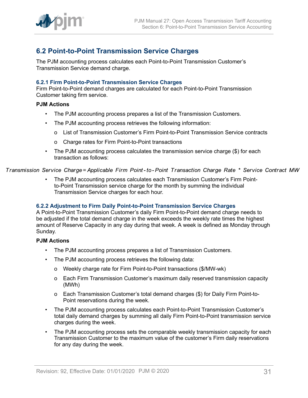

### <span id="page-30-0"></span>**6.2 Point-to-Point Transmission Service Charges**

The PJM accounting process calculates each Point-to-Point Transmission Customer's Transmission Service demand charge.

#### <span id="page-30-1"></span>**6.2.1 Firm Point-to-Point Transmission Service Charges**

Firm Point-to-Point demand charges are calculated for each Point-to-Point Transmission Customer taking firm service.

#### **PJM Actions**

- The PJM accounting process prepares a list of the Transmission Customers.
- The PJM accounting process retrieves the following information:
	- o List of Transmission Customer's Firm Point-to-Point Transmission Service contracts
	- o Charge rates for Firm Point-to-Point transactions
- The PJM accounting process calculates the transmission service charge (\$) for each transaction as follows:

#### Transmission Service Charge= Applicable Firm Point-to-Point Transaction Charge Rate \* Service Contract MW

• The PJM accounting process calculates each Transmission Customer's Firm Pointto-Point Transmission service charge for the month by summing the individual Transmission Service charges for each hour.

#### <span id="page-30-2"></span>**6.2.2 Adjustment to Firm Daily Point-to-Point Transmission Service Charges**

A Point-to-Point Transmission Customer's daily Firm Point-to-Point demand charge needs to be adjusted if the total demand charge in the week exceeds the weekly rate times the highest amount of Reserve Capacity in any day during that week. A week is defined as Monday through Sunday.

#### **PJM Actions**

- The PJM accounting process prepares a list of Transmission Customers.
- The PJM accounting process retrieves the following data:
	- o Weekly charge rate for Firm Point-to-Point transactions (\$/MW-wk)
	- o Each Firm Transmission Customer's maximum daily reserved transmission capacity (MWh)
	- o Each Transmission Customer's total demand charges (\$) for Daily Firm Point-to-Point reservations during the week.
- The PJM accounting process calculates each Point-to-Point Transmission Customer's total daily demand charges by summing all daily Firm Point-to-Point transmission service charges during the week.
- The PJM accounting process sets the comparable weekly transmission capacity for each Transmission Customer to the maximum value of the customer's Firm daily reservations for any day during the week.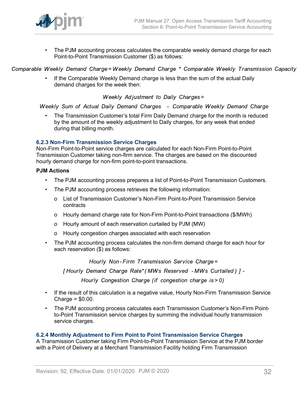• The PJM accounting process calculates the comparable weekly demand charge for each Point-to-Point Transmission Customer (\$) as follows:

Comparable Weekly Demand Charge=Weekly Demand Charge \* Comparable Weekly Transmission Capacity

• If the Comparable Weekly Demand charge is less than the sum of the actual Daily demand charges for the week then:

Weekly Adjustment to Daily Charges=

Weekly Sum of Actual Daily Demand Charges - Comparable Weekly Demand Charge

• The Transmission Customer's total Firm Daily Demand charge for the month is reduced by the amount of the weekly adjustment to Daily charges, for any week that ended during that billing month.

#### <span id="page-31-0"></span>**6.2.3 Non-Firm Transmission Service Charges**

Non-Firm Point-to-Point service charges are calculated for each Non-Firm Point-to-Point Transmission Customer taking non-firm service. The charges are based on the discounted hourly demand charge for non-firm point-to-point transactions.

#### **PJM Actions**

- The PJM accounting process prepares a list of Point-to-Point Transmission Customers.
- The PJM accounting process retrieves the following information:
	- o List of Transmission Customer's Non-Firm Point-to-Point Transmission Service contracts
	- o Hourly demand charge rate for Non-Firm Point-to-Point transactions (\$/MWh)
	- o Hourly amount of each reservation curtailed by PJM (MW)
	- o Hourly congestion charges associated with each reservation
- The PJM accounting process calculates the non-firm demand charge for each hour for each reservation (\$) as follows:

Hourly Non-Firm Transmission Service Charge=

[Hourly Demand Charge Rate\* (MWs Reserved - MWs Curtailed) ] -

Hourly Congestion Charge (if congestion charge is > 0)

- If the result of this calculation is a negative value, Hourly Non-Firm Transmission Service  $Change = $0.00$ .
- The PJM accounting process calculates each Transmission Customer's Non-Firm Pointto-Point Transmission service charges by summing the individual hourly transmission service charges.

#### <span id="page-31-1"></span>**6.2.4 Monthly Adjustment to Firm Point to Point Transmission Service Charges**

A Transmission Customer taking Firm Point-to-Point Transmission Service at the PJM border with a Point of Delivery at a Merchant Transmission Facility holding Firm Transmission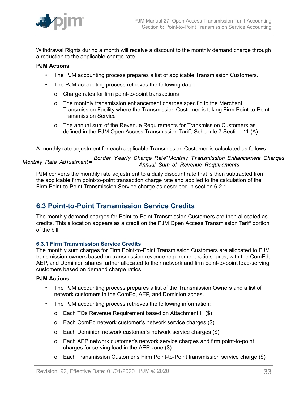

Withdrawal Rights during a month will receive a discount to the monthly demand charge through a reduction to the applicable charge rate.

#### **PJM Actions**

- The PJM accounting process prepares a list of applicable Transmission Customers.
- The PJM accounting process retrieves the following data:
	- o Charge rates for firm point-to-point transactions
	- o The monthly transmission enhancement charges specific to the Merchant Transmission Facility where the Transmission Customer is taking Firm Point-to-Point Transmission Service
	- o The annual sum of the Revenue Requirements for Transmission Customers as defined in the PJM Open Access Transmission Tariff, Schedule 7 Section 11 (A)

A monthly rate adjustment for each applicable Transmission Customer is calculated as follows:

Border Yearly Charge Rate\*Monthly Transmission Enhancement Charges Monthly Rate Adjustment= Annual Sum of Revenue Requirements

PJM converts the monthly rate adjustment to a daily discount rate that is then subtracted from the applicable firm point-to-point transaction charge rate and applied to the calculation of the Firm Point-to-Point Transmission Service charge as described in section 6.2.1.

### <span id="page-32-0"></span>**6.3 Point-to-Point Transmission Service Credits**

The monthly demand charges for Point-to-Point Transmission Customers are then allocated as credits. This allocation appears as a credit on the PJM Open Access Transmission Tariff portion of the bill.

#### <span id="page-32-1"></span>**6.3.1 Firm Transmission Service Credits**

The monthly sum charges for Firm Point-to-Point Transmission Customers are allocated to PJM transmission owners based on transmission revenue requirement ratio shares, with the ComEd, AEP, and Dominion shares further allocated to their network and firm point-to-point load-serving customers based on demand charge ratios.

#### **PJM Actions**

- The PJM accounting process prepares a list of the Transmission Owners and a list of network customers in the ComEd, AEP, and Dominion zones.
- The PJM accounting process retrieves the following information:
	- o Each TOs Revenue Requirement based on Attachment H (\$)
	- o Each ComEd network customer's network service charges (\$)
	- o Each Dominion network customer's network service charges (\$)
	- o Each AEP network customer's network service charges and firm point-to-point charges for serving load in the AEP zone (\$)
	- o Each Transmission Customer's Firm Point-to-Point transmission service charge (\$)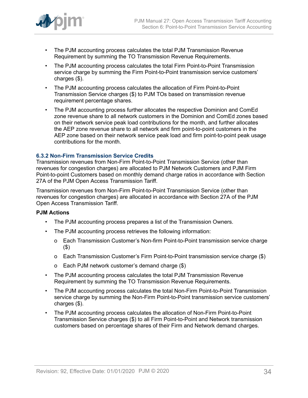

- The PJM accounting process calculates the total PJM Transmission Revenue Requirement by summing the TO Transmission Revenue Requirements.
- The PJM accounting process calculates the total Firm Point-to-Point Transmission service charge by summing the Firm Point-to-Point transmission service customers' charges (\$).
- The PJM accounting process calculates the allocation of Firm Point-to-Point Transmission Service charges (\$) to PJM TOs based on transmission revenue requirement percentage shares.
- The PJM accounting process further allocates the respective Dominion and ComEd zone revenue share to all network customers in the Dominion and ComEd zones based on their network service peak load contributions for the month, and further allocates the AEP zone revenue share to all network and firm point-to-point customers in the AEP zone based on their network service peak load and firm point-to-point peak usage contributions for the month.

#### <span id="page-33-0"></span>**6.3.2 Non-Firm Transmission Service Credits**

Transmission revenues from Non-Firm Point-to-Point Transmission Service (other than revenues for congestion charges) are allocated to PJM Network Customers and PJM Firm Point-to-point Customers based on monthly demand charge ratios in accordance with Section 27A of the PJM Open Access Transmission Tariff.

Transmission revenues from Non-Firm Point-to-Point Transmission Service (other than revenues for congestion charges) are allocated in accordance with Section 27A of the PJM Open Access Transmission Tariff.

#### **PJM Actions**

- The PJM accounting process prepares a list of the Transmission Owners.
- The PJM accounting process retrieves the following information:
	- o Each Transmission Customer's Non-firm Point-to-Point transmission service charge (\$)
	- o Each Transmission Customer's Firm Point-to-Point transmission service charge (\$)
	- o Each PJM network customer's demand charge (\$)
- The PJM accounting process calculates the total PJM Transmission Revenue Requirement by summing the TO Transmission Revenue Requirements.
- The PJM accounting process calculates the total Non-Firm Point-to-Point Transmission service charge by summing the Non-Firm Point-to-Point transmission service customers' charges (\$).
- The PJM accounting process calculates the allocation of Non-Firm Point-to-Point Transmission Service charges (\$) to all Firm Point-to-Point and Network transmission customers based on percentage shares of their Firm and Network demand charges.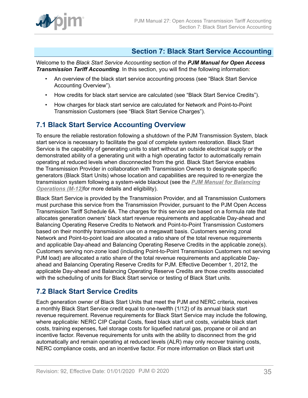

### <span id="page-34-0"></span>**Section 7: Black Start Service Accounting**

Welcome to the *Black Start Service Accounting* section of the *PJM Manual for Open Access Transmission Tariff Accounting*. In this section, you will find the following information:

- An overview of the black start service accounting process (see "Black Start Service Accounting Overview").
- How credits for black start service are calculated (see "Black Start Service Credits").
- How charges for black start service are calculated for Network and Point-to-Point Transmission Customers (see "Black Start Service Charges").

### <span id="page-34-1"></span>**7.1 Black Start Service Accounting Overview**

To ensure the reliable restoration following a shutdown of the PJM Transmission System, black start service is necessary to facilitate the goal of complete system restoration. Black Start Service is the capability of generating units to start without an outside electrical supply or the demonstrated ability of a generating unit with a high operating factor to automatically remain operating at reduced levels when disconnected from the grid. Black Start Service enables the Transmission Provider in collaboration with Transmission Owners to designate specific generators (Black Start Units) whose location and capabilities are required to re-energize the transmission system following a system-wide blackout (see the *[PJM Manual for Balancing](http://www.pjm.com/~/media/documents/manuals/m12.ashx) [Operations \(M-12\)](http://www.pjm.com/~/media/documents/manuals/m12.ashx)*for more details and eligibility).

Black Start Service is provided by the Transmission Provider, and all Transmission Customers must purchase this service from the Transmission Provider, pursuant to the PJM Open Access Transmission Tariff Schedule 6A. The charges for this service are based on a formula rate that allocates generation owners' black start revenue requirements and applicable Day-ahead and Balancing Operating Reserve Credits to Network and Point-to-Point Transmission Customers based on their monthly transmission use on a megawatt basis. Customers serving zonal Network and Point-to-point load are allocated a ratio share of the total revenue requirements and applicable Day-ahead and Balancing Operating Reserve Credits in the applicable zone(s). Customers serving non-zone load (including Point-to-Point Transmission Customers not serving PJM load) are allocated a ratio share of the total revenue requirements and applicable Dayahead and Balancing Operating Reserve Credits for PJM. Effective December 1, 2012, the applicable Day-ahead and Balancing Operating Reserve Credits are those credits associated with the scheduling of units for Black Start service or testing of Black Start units.

### <span id="page-34-2"></span>**7.2 Black Start Service Credits**

Each generation owner of Black Start Units that meet the PJM and NERC criteria, receives a monthly Black Start Service credit equal to one-twelfth (1/12) of its annual black start revenue requirement. Revenue requirements for Black Start Service may include the following, where applicable: NERC CIP Capital Costs, fixed black start unit costs, variable black start costs, training expenses, fuel storage costs for liquefied natural gas, propane or oil and an incentive factor. Revenue requirements for units with the ability to disconnect from the grid automatically and remain operating at reduced levels (ALR) may only recover training costs, NERC compliance costs, and an incentive factor. For more information on Black start unit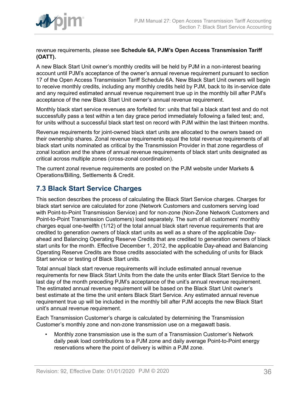

revenue requirements, please see **Schedule 6A, PJM's Open Access Transmission Tariff (OATT).**

A new Black Start Unit owner's monthly credits will be held by PJM in a non-interest bearing account until PJM's acceptance of the owner's annual revenue requirement pursuant to section 17 of the Open Access Transmission Tariff Schedule 6A. New Black Start Unit owners will begin to receive monthly credits, including any monthly credits held by PJM, back to its in-service date and any required estimated annual revenue requirement true up in the monthly bill after PJM's acceptance of the new Black Start Unit owner's annual revenue requirement.

Monthly black start service revenues are forfeited for: units that fail a black start test and do not successfully pass a test within a ten day grace period immediately following a failed test; and, for units without a successful black start test on record with PJM within the last thirteen months.

Revenue requirements for joint-owned black start units are allocated to the owners based on their ownership shares. Zonal revenue requirements equal the total revenue requirements of all black start units nominated as critical by the Transmission Provider in that zone regardless of zonal location and the share of annual revenue requirements of black start units designated as critical across multiple zones (cross-zonal coordination).

The current zonal revenue requirements are posted on the PJM website under Markets & Operations/Billing, Settlements & Credit.

### <span id="page-35-0"></span>**7.3 Black Start Service Charges**

This section describes the process of calculating the Black Start Service charges. Charges for black start service are calculated for zone (Network Customers and customers serving load with Point-to-Point Transmission Service) and for non-zone (Non-Zone Network Customers and Point-to-Point Transmission Customers) load separately. The sum of all customers' monthly charges equal one-twelfth (1/12) of the total annual black start revenue requirements that are credited to generation owners of black start units as well as a share of the applicable Dayahead and Balancing Operating Reserve Credits that are credited to generation owners of black start units for the month. Effective December 1, 2012, the applicable Day-ahead and Balancing Operating Reserve Credits are those credits associated with the scheduling of units for Black Start service or testing of Black Start units.

Total annual black start revenue requirements will include estimated annual revenue requirements for new Black Start Units from the date the units enter Black Start Service to the last day of the month preceding PJM's acceptance of the unit's annual revenue requirement. The estimated annual revenue requirement will be based on the Black Start Unit owner's best estimate at the time the unit enters Black Start Service. Any estimated annual revenue requirement true up will be included in the monthly bill after PJM accepts the new Black Start unit's annual revenue requirement.

Each Transmission Customer's charge is calculated by determining the Transmission Customer's monthly zone and non-zone transmission use on a megawatt basis.

• Monthly zone transmission use is the sum of a Transmission Customer's Network daily peak load contributions to a PJM zone and daily average Point-to-Point energy reservations where the point of delivery is within a PJM zone.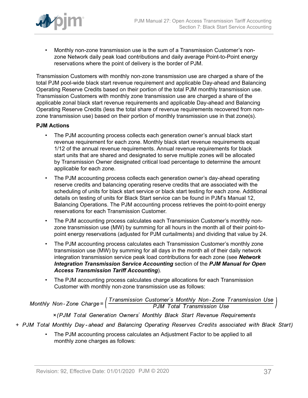

• Monthly non-zone transmission use is the sum of a Transmission Customer's nonzone Network daily peak load contributions and daily average Point-to-Point energy reservations where the point of delivery is the border of PJM.

Transmission Customers with monthly non-zone transmission use are charged a share of the total PJM pool-wide black start revenue requirement and applicable Day-ahead and Balancing Operating Reserve Credits based on their portion of the total PJM monthly transmission use. Transmission Customers with monthly zone transmission use are charged a share of the applicable zonal black start revenue requirements and applicable Day-ahead and Balancing Operating Reserve Credits (less the total share of revenue requirements recovered from nonzone transmission use) based on their portion of monthly transmission use in that zone(s).

#### **PJM Actions**

- The PJM accounting process collects each generation owner's annual black start revenue requirement for each zone. Monthly black start revenue requirements equal 1/12 of the annual revenue requirements. Annual revenue requirements for black start units that are shared and designated to serve multiple zones will be allocated by Transmission Owner designated critical load percentage to determine the amount applicable for each zone.
- The PJM accounting process collects each generation owner's day-ahead operating reserve credits and balancing operating reserve credits that are associated with the scheduling of units for black start service or black start testing for each zone. Additional details on testing of units for Black Start service can be found in PJM's Manual 12, Balancing Operations. The PJM accounting process retrieves the point-to-point energy reservations for each Transmission Customer.
- The PJM accounting process calculates each Transmission Customer's monthly nonzone transmission use (MW) by summing for all hours in the month all of their point-topoint energy reservations (adjusted for PJM curtailments) and dividing that value by 24.
- The PJM accounting process calculates each Transmission Customer's monthly zone transmission use (MW) by summing for all days in the month all of their daily network integration transmission service peak load contributions for each zone (see *Network Integration Transmission Service Accounting* section of the *PJM Manual for Open Access Transmission Tariff Accounting*).
- The PJM accounting process calculates charge allocations for each Transmission Customer with monthly non-zone transmission use as follows:

Monthly Non-Zone Charge= $\left(\frac{Transmission\ Customer's\ Monthly\ Non-Zone\ Transmission\ Use}{PJM\ Total\ Transmission\ Use}\right)$ 

x (PJM Total Generation Owners' Monthly Black Start Revenue Requirements

- + PJM Total Monthly Day-ahead and Balancing Operating Reserves Credits associated with Black Start)
	- The PJM accounting process calculates an Adjustment Factor to be applied to all monthly zone charges as follows: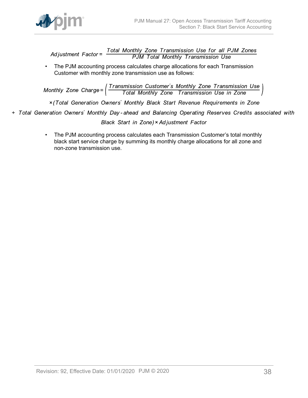

Total Monthly Zone Transmission Use for all PJM Zones<br>PJM Total Monthly Transmission Use Ad iustment  $Factor =$ 

• The PJM accounting process calculates charge allocations for each Transmission Customer with monthly zone transmission use as follows:

Monthly Zone Charge=  $\left(\frac{Transmission\ Customer's\ Monthly\ zone\ Transmission\ Use\ }}{Total\ Monthly\ Zone\ Transmission\ Use\ in\ Zone}$ 

x (Total Generation Owners' Monthly Black Start Revenue Requirements in Zone

+ Total Generation Owners' Monthly Day-ahead and Balancing Operating Reserves Credits associated with

Black Start in Zone) × Adjustment Factor

• The PJM accounting process calculates each Transmission Customer's total monthly black start service charge by summing its monthly charge allocations for all zone and non-zone transmission use.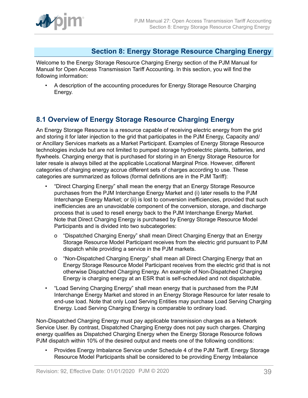

### <span id="page-38-0"></span>**Section 8: Energy Storage Resource Charging Energy**

Welcome to the Energy Storage Resource Charging Energy section of the PJM Manual for Manual for Open Access Transmission Tariff Accounting. In this section, you will find the following information:

• A description of the accounting procedures for Energy Storage Resource Charging Energy.

### <span id="page-38-1"></span>**8.1 Overview of Energy Storage Resource Charging Energy**

An Energy Storage Resource is a resource capable of receiving electric energy from the grid and storing it for later injection to the grid that participates in the PJM Energy, Capacity and/ or Ancillary Services markets as a Market Participant. Examples of Energy Storage Resource technologies include but are not limited to pumped storage hydroelectric plants, batteries, and flywheels. Charging energy that is purchased for storing in an Energy Storage Resource for later resale is always billed at the applicable Locational Marginal Price. However, different categories of charging energy accrue different sets of charges according to use. These categories are summarized as follows (formal definitions are in the PJM Tariff):

- "Direct Charging Energy" shall mean the energy that an Energy Storage Resource purchases from the PJM Interchange Energy Market and (i) later resells to the PJM Interchange Energy Market; or (ii) is lost to conversion inefficiencies, provided that such inefficiencies are an unavoidable component of the conversion, storage, and discharge process that is used to resell energy back to the PJM Interchange Energy Market. Note that Direct Charging Energy is purchased by Energy Storage Resource Model Participants and is divided into two subcategories:
	- o "Dispatched Charging Energy" shall mean Direct Charging Energy that an Energy Storage Resource Model Participant receives from the electric grid pursuant to PJM dispatch while providing a service in the PJM markets.
	- o "Non-Dispatched Charging Energy" shall mean all Direct Charging Energy that an Energy Storage Resource Model Participant receives from the electric grid that is not otherwise Dispatched Charging Energy. An example of Non-Dispatched Charging Energy is charging energy at an ESR that is self-scheduled and not dispatchable.
- "Load Serving Charging Energy" shall mean energy that is purchased from the PJM Interchange Energy Market and stored in an Energy Storage Resource for later resale to end-use load. Note that only Load Serving Entities may purchase Load Serving Charging Energy. Load Serving Charging Energy is comparable to ordinary load.

Non-Dispatched Charging Energy must pay applicable transmission charges as a Network Service User. By contrast, Dispatched Charging Energy does not pay such charges. Charging energy qualifies as Dispatched Charging Energy when the Energy Storage Resource follows PJM dispatch within 10% of the desired output and meets one of the following conditions:

• Provides Energy Imbalance Service under Schedule 4 of the PJM Tariff. Energy Storage Resource Model Participants shall be considered to be providing Energy Imbalance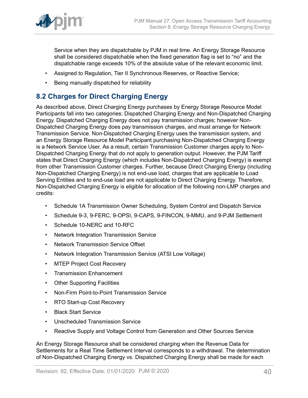

Service when they are dispatchable by PJM in real time. An Energy Storage Resource shall be considered dispatchable when the fixed generation flag is set to "no" and the dispatchable range exceeds 10% of the absolute value of the relevant economic limit.

- Assigned to Regulation, Tier II Synchronous Reserves, or Reactive Service;
- Being manually dispatched for reliability

### <span id="page-39-0"></span>**8.2 Charges for Direct Charging Energy**

As described above, Direct Charging Energy purchases by Energy Storage Resource Model Participants fall into two categories: Dispatched Charging Energy and Non-Dispatched Charging Energy. Dispatched Charging Energy does not pay transmission charges; however Non-Dispatched Charging Energy does pay transmission charges, and must arrange for Network Transmission Service. Non-Dispatched Charging Energy uses the transmission system, and an Energy Storage Resource Model Participant purchasing Non-Dispatched Charging Energy is a Network Service User. As a result, certain Transmission Customer charges apply to Non-Dispatched Charging Energy that do not apply to generation output. However, the PJM Tariff states that Direct Charging Energy (which includes Non-Dispatched Charging Energy) is exempt from other Transmission Customer charges. Further, because Direct Charging Energy (including Non-Dispatched Charging Energy) is not end-use load, charges that are applicable to Load Serving Entities and to end-use load are not applicable to Direct Charging Energy. Therefore, Non-Dispatched Charging Energy is eligible for allocation of the following non-LMP charges and credits:

- Schedule 1A Transmission Owner Scheduling, System Control and Dispatch Service
- Schedule 9-3, 9-FERC, 9-OPSI, 9-CAPS, 9-FINCON, 9-MMU, and 9-PJM Settlement
- Schedule 10-NERC and 10-RFC
- Network Integration Transmission Service
- Network Transmission Service Offset
- Network Integration Transmission Service (ATSI Low Voltage)
- MTEP Project Cost Recovery
- Transmission Enhancement
- Other Supporting Facilities
- Non-Firm Point-to-Point Transmission Service
- RTO Start-up Cost Recovery
- Black Start Service
- Unscheduled Transmission Service
- Reactive Supply and Voltage Control from Generation and Other Sources Service

An Energy Storage Resource shall be considered charging when the Revenue Data for Settlements for a Real Time Settlement Interval corresponds to a withdrawal. The determination of Non-Dispatched Charging Energy vs. Dispatched Charging Energy shall be made for each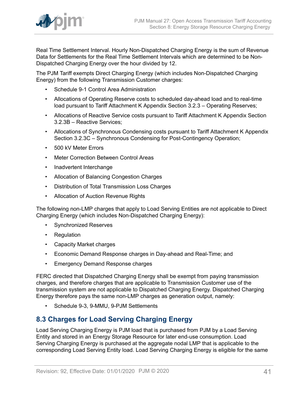

Real Time Settlement Interval. Hourly Non-Dispatched Charging Energy is the sum of Revenue Data for Settlements for the Real Time Settlement Intervals which are determined to be Non-Dispatched Charging Energy over the hour divided by 12.

The PJM Tariff exempts Direct Charging Energy (which includes Non-Dispatched Charging Energy) from the following Transmission Customer charges:

- Schedule 9-1 Control Area Administration
- Allocations of Operating Reserve costs to scheduled day-ahead load and to real-time load pursuant to Tariff Attachment K Appendix Section 3.2.3 – Operating Reserves;
- Allocations of Reactive Service costs pursuant to Tariff Attachment K Appendix Section 3.2.3B – Reactive Services;
- Allocations of Synchronous Condensing costs pursuant to Tariff Attachment K Appendix Section 3.2.3C – Synchronous Condensing for Post-Contingency Operation;
- 500 kV Meter Errors
- Meter Correction Between Control Areas
- Inadvertent Interchange
- Allocation of Balancing Congestion Charges
- Distribution of Total Transmission Loss Charges
- Allocation of Auction Revenue Rights

The following non-LMP charges that apply to Load Serving Entities are not applicable to Direct Charging Energy (which includes Non-Dispatched Charging Energy):

- Synchronized Reserves
- Regulation
- Capacity Market charges
- Economic Demand Response charges in Day-ahead and Real-Time; and
- Emergency Demand Response charges

FERC directed that Dispatched Charging Energy shall be exempt from paying transmission charges, and therefore charges that are applicable to Transmission Customer use of the transmission system are not applicable to Dispatched Charging Energy. Dispatched Charging Energy therefore pays the same non-LMP charges as generation output, namely:

• Schedule 9-3, 9-MMU, 9-PJM Settlements

### <span id="page-40-0"></span>**8.3 Charges for Load Serving Charging Energy**

Load Serving Charging Energy is PJM load that is purchased from PJM by a Load Serving Entity and stored in an Energy Storage Resource for later end-use consumption. Load Serving Charging Energy is purchased at the aggregate nodal LMP that is applicable to the corresponding Load Serving Entity load. Load Serving Charging Energy is eligible for the same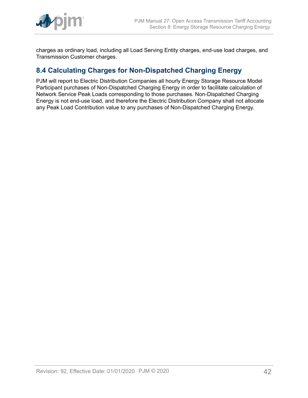

charges as ordinary load, including all Load Serving Entity charges, end-use load charges, and Transmission Customer charges.

### <span id="page-41-0"></span>**8.4 Calculating Charges for Non-Dispatched Charging Energy**

PJM will report to Electric Distribution Companies all hourly Energy Storage Resource Model Participant purchases of Non-Dispatched Charging Energy in order to facilitate calculation of Network Service Peak Loads corresponding to those purchases. Non-Dispatched Charging Energy is not end-use load, and therefore the Electric Distribution Company shall not allocate any Peak Load Contribution value to any purchases of Non-Dispatched Charging Energy.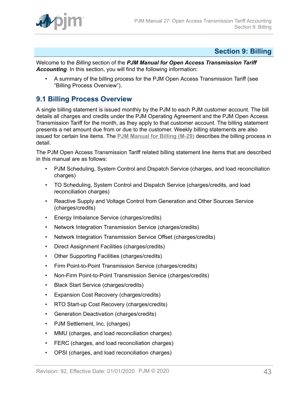

### <span id="page-42-0"></span>**Section 9: Billing**

Welcome to the *Billing* section of the *PJM Manual for Open Access Transmission Tariff Accounting*. In this section, you will find the following information:

• A summary of the billing process for the PJM Open Access Transmission Tariff (see "Billing Process Overview").

### <span id="page-42-1"></span>**9.1 Billing Process Overview**

A single billing statement is issued monthly by the PJM to each PJM customer account. The bill details all charges and credits under the PJM Operating Agreement and the PJM Open Access Transmission Tariff for the month, as they apply to that customer account. The billing statement presents a net amount due from or due to the customer. Weekly billing statements are also issued for certain line items. The **[PJM Manual for Billing \(M-29\)](http://www.pjm.com/~/media/documents/manuals/m29.ashx)** describes the billing process in detail.

The PJM Open Access Transmission Tariff related billing statement line items that are described in this manual are as follows:

- PJM Scheduling, System Control and Dispatch Service (charges, and load reconciliation charges)
- TO Scheduling, System Control and Dispatch Service (charges/credits, and load reconciliation charges)
- Reactive Supply and Voltage Control from Generation and Other Sources Service (charges/credits)
- Energy Imbalance Service (charges/credits)
- Network Integration Transmission Service (charges/credits)
- Network Integration Transmission Service Offset (charges/credits)
- Direct Assignment Facilities (charges/credits)
- Other Supporting Facilities (charges/credits)
- Firm Point-to-Point Transmission Service (charges/credits)
- Non-Firm Point-to-Point Transmission Service (charges/credits)
- Black Start Service (charges/credits)
- Expansion Cost Recovery (charges/credits)
- RTO Start-up Cost Recovery (charges/credits)
- Generation Deactivation (charges/credits)
- PJM Settlement, Inc. (charges)
- MMU (charges, and load reconciliation charges)
- FERC (charges, and load reconciliation charges)
- OPSI (charges, and load reconciliation charges)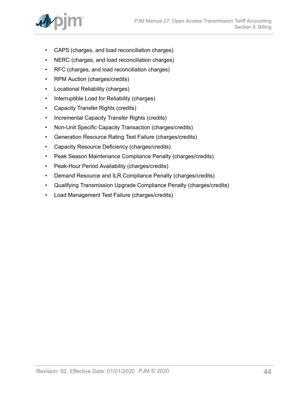

- CAPS (charges, and load reconciliation charges)
- NERC (charges, and load reconciliation charges)
- RFC (charges, and load reconciliation charges)
- RPM Auction (charges/credits)
- Locational Reliability (charges)
- Interruptible Load for Reliability (charges)
- Capacity Transfer Rights (credits)
- Incremental Capacity Transfer Rights (credits)
- Non-Unit Specific Capacity Transaction (charges/credits)
- Generation Resource Rating Test Failure (charges/credits)
- Capacity Resource Deficiency (charges/credits)
- Peak Season Maintenance Compliance Penalty (charges/credits)
- Peak-Hour Period Availability (charges/credits)
- Demand Resource and ILR Compliance Penalty (charges/credits)
- Qualifying Transmission Upgrade Compliance Penalty (charges/credits)
- Load Management Test Failure (charges/credits)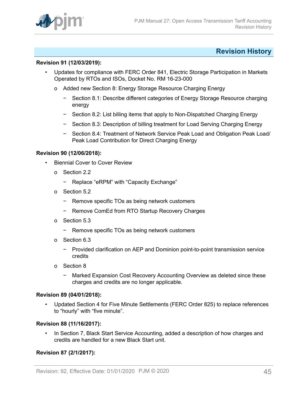

### <span id="page-44-0"></span>**Revision History**

#### **Revision 91 (12/03/2019):**

- Updates for compliance with FERC Order 841, Electric Storage Participation in Markets Operated by RTOs and ISOs, Docket No. RM 16-23-000
	- o Added new Section 8: Energy Storage Resource Charging Energy
		- − Section 8.1: Describe different categories of Energy Storage Resource charging energy
		- − Section 8.2: List billing items that apply to Non-Dispatched Charging Energy
		- − Section 8.3: Description of billing treatment for Load Serving Charging Energy
		- − Section 8.4: Treatment of Network Service Peak Load and Obligation Peak Load/ Peak Load Contribution for Direct Charging Energy

#### **Revision 90 (12/06/2018):**

- **Biennial Cover to Cover Review** 
	- o Section 2.2
		- − Replace "eRPM" with "Capacity Exchange"
	- o Section 5.2
		- − Remove specific TOs as being network customers
		- − Remove ComEd from RTO Startup Recovery Charges
	- o Section 5.3
		- − Remove specific TOs as being network customers
	- o Section 6.3
		- − Provided clarification on AEP and Dominion point-to-point transmission service credits
	- o Section 8
		- − Marked Expansion Cost Recovery Accounting Overview as deleted since these charges and credits are no longer applicable.

#### **Revision 89 (04/01/2018):**

• Updated Section 4 for Five Minute Settlements (FERC Order 825) to replace references to "hourly" with "five minute".

#### **Revision 88 (11/16/2017):**

• In Section 7, Black Start Service Accounting, added a description of how charges and credits are handled for a new Black Start unit.

#### **Revision 87 (2/1/2017):**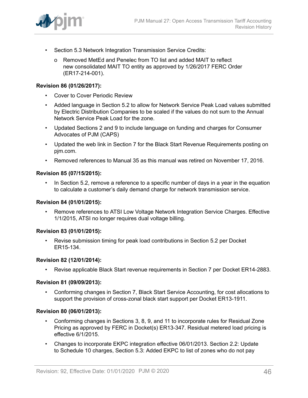

- Section 5.3 Network Integration Transmission Service Credits:
	- o Removed MetEd and Penelec from TO list and added MAIT to reflect new consolidated MAIT TO entity as approved by 1/26/2017 FERC Order (ER17-214-001).

#### **Revision 86 (01/26/2017):**

- Cover to Cover Periodic Review
- Added language in Section 5.2 to allow for Network Service Peak Load values submitted by Electric Distribution Companies to be scaled if the values do not sum to the Annual Network Service Peak Load for the zone.
- Updated Sections 2 and 9 to include language on funding and charges for Consumer Advocates of PJM (CAPS)
- Updated the web link in Section 7 for the Black Start Revenue Requirements posting on pjm.com.
- Removed references to Manual 35 as this manual was retired on November 17, 2016.

#### **Revision 85 (07/15/2015):**

• In Section 5.2, remove a reference to a specific number of days in a year in the equation to calculate a customer's daily demand charge for network transmission service.

#### **Revision 84 (01/01/2015):**

• Remove references to ATSI Low Voltage Network Integration Service Charges. Effective 1/1/2015, ATSI no longer requires dual voltage billing.

#### **Revision 83 (01/01/2015):**

• Revise submission timing for peak load contributions in Section 5.2 per Docket ER15-134.

#### **Revision 82 (12/01/2014):**

• Revise applicable Black Start revenue requirements in Section 7 per Docket ER14-2883.

#### **Revision 81 (09/09/2013):**

• Conforming changes in Section 7, Black Start Service Accounting, for cost allocations to support the provision of cross-zonal black start support per Docket ER13-1911.

#### **Revision 80 (06/01/2013):**

- Conforming changes in Sections 3, 8, 9, and 11 to incorporate rules for Residual Zone Pricing as approved by FERC in Docket(s) ER13-347. Residual metered load pricing is effective 6/1/2015.
- Changes to incorporate EKPC integration effective 06/01/2013. Section 2.2: Update to Schedule 10 charges, Section 5.3: Added EKPC to list of zones who do not pay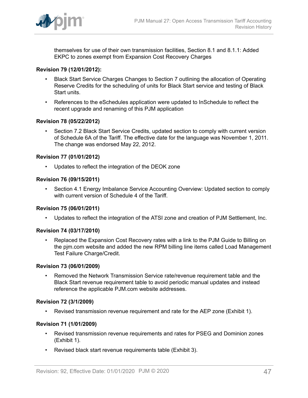

themselves for use of their own transmission facilities, Section 8.1 and 8.1.1: Added EKPC to zones exempt from Expansion Cost Recovery Charges

#### **Revision 79 (12/01/2012):**

- Black Start Service Charges Changes to Section 7 outlining the allocation of Operating Reserve Credits for the scheduling of units for Black Start service and testing of Black Start units.
- References to the eSchedules application were updated to InSchedule to reflect the recent upgrade and renaming of this PJM application

#### **Revision 78 (05/22/2012)**

• Section 7.2 Black Start Service Credits, updated section to comply with current version of Schedule 6A of the Tariff. The effective date for the language was November 1, 2011. The change was endorsed May 22, 2012.

#### **Revision 77 (01/01/2012)**

Updates to reflect the integration of the DEOK zone

#### **Revision 76 (09/15/2011)**

• Section 4.1 Energy Imbalance Service Accounting Overview: Updated section to comply with current version of Schedule 4 of the Tariff.

#### **Revision 75 (06/01/2011)**

• Updates to reflect the integration of the ATSI zone and creation of PJM Settlement, Inc.

#### **Revision 74 (03/17/2010)**

• Replaced the Expansion Cost Recovery rates with a link to the PJM Guide to Billing on the pjm.com website and added the new RPM billing line items called Load Management Test Failure Charge/Credit.

#### **Revision 73 (06/01/2009)**

• Removed the Network Transmission Service rate/revenue requirement table and the Black Start revenue requirement table to avoid periodic manual updates and instead reference the applicable PJM.com website addresses.

#### **Revision 72 (3/1/2009)**

• Revised transmission revenue requirement and rate for the AEP zone (Exhibit 1).

#### **Revision 71 (1/01/2009)**

- Revised transmission revenue requirements and rates for PSEG and Dominion zones (Exhibit 1).
- Revised black start revenue requirements table (Exhibit 3).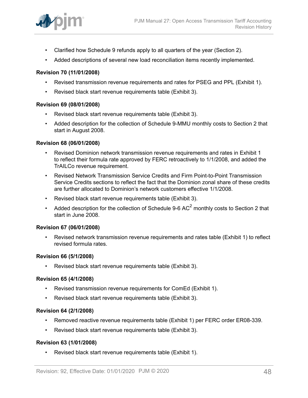

- Clarified how Schedule 9 refunds apply to all quarters of the year (Section 2).
- Added descriptions of several new load reconciliation items recently implemented.

#### **Revision 70 (11/01/2008)**

- Revised transmission revenue requirements and rates for PSEG and PPL (Exhibit 1).
- Revised black start revenue requirements table (Exhibit 3).

#### **Revision 69 (08/01/2008)**

- Revised black start revenue requirements table (Exhibit 3).
- Added description for the collection of Schedule 9-MMU monthly costs to Section 2 that start in August 2008.

#### **Revision 68 (06/01/2008)**

- Revised Dominion network transmission revenue requirements and rates in Exhibit 1 to reflect their formula rate approved by FERC retroactively to 1/1/2008, and added the TrAILCo revenue requirement.
- Revised Network Transmission Service Credits and Firm Point-to-Point Transmission Service Credits sections to reflect the fact that the Dominion zonal share of these credits are further allocated to Dominion's network customers effective 1/1/2008.
- Revised black start revenue requirements table (Exhibit 3).
- Added description for the collection of Schedule 9-6 AC<sup>2</sup> monthly costs to Section 2 that start in June 2008.

#### **Revision 67 (06/01/2008)**

• Revised network transmission revenue requirements and rates table (Exhibit 1) to reflect revised formula rates.

#### **Revision 66 (5/1/2008)**

• Revised black start revenue requirements table (Exhibit 3).

#### **Revision 65 (4/1/2008)**

- Revised transmission revenue requirements for ComEd (Exhibit 1).
- Revised black start revenue requirements table (Exhibit 3).

#### **Revision 64 (2/1/2008)**

- Removed reactive revenue requirements table (Exhibit 1) per FERC order ER08-339.
- Revised black start revenue requirements table (Exhibit 3).

#### **Revision 63 (1/01/2008)**

• Revised black start revenue requirements table (Exhibit 1).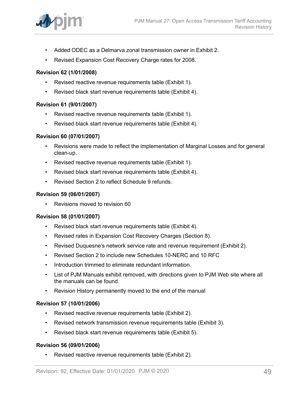

- Added ODEC as a Delmarva zonal transmission owner in Exhibit 2.
- Revised Expansion Cost Recovery Charge rates for 2008.

#### **Revision 62 (1/01/2008)**

- Revised reactive revenue requirements table (Exhibit 1).
- Revised black start revenue requirements table (Exhibit 4).

#### **Revision 61 (9/01/2007)**

- Revised reactive revenue requirements table (Exhibit 1).
- Revised black start revenue requirements table (Exhibit 4).

#### **Revision 60 (07/01/2007)**

- Revisions were made to reflect the implementation of Marginal Losses and for general clean-up.
- Revised reactive revenue requirements table (Exhibit 1).
- Revised black start revenue requirements table (Exhibit 4).
- Revised Section 2 to reflect Schedule 9 refunds.

#### **Revision 59 (06/01/2007)**

• Revisions moved to revision 60

#### **Revision 58 (01/01/2007)**

- Revised black start revenue requirements table (Exhibit 4).
- Revised rates in Expansion Cost Recovery Charges (Section 8).
- Revised Duquesne's network service rate and revenue requirement (Exhibit 2).
- Revised Section 2 to include new Schedules 10-NERC and 10 RFC
- Introduction trimmed to eliminate redundant information.
- List of PJM Manuals exhibit removed, with directions given to PJM Web site where all the manuals can be found.
- Revision History permanently moved to the end of the manual

#### **Revision 57 (10/01/2006)**

- Revised reactive revenue requirements table (Exhibit 2).
- Revised network transmission revenue requirements table (Exhibit 3).
- Revised black start revenue requirements table (Exhibit 5).

#### **Revision 56 (09/01/2006)**

• Revised reactive revenue requirements table (Exhibit 2).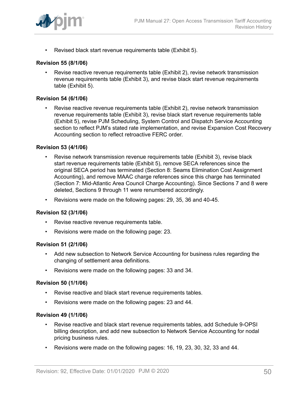

• Revised black start revenue requirements table (Exhibit 5).

#### **Revision 55 (8/1/06)**

• Revise reactive revenue requirements table (Exhibit 2), revise network transmission revenue requirements table (Exhibit 3), and revise black start revenue requirements table (Exhibit 5).

#### **Revision 54 (6/1/06)**

• Revise reactive revenue requirements table (Exhibit 2), revise network transmission revenue requirements table (Exhibit 3), revise black start revenue requirements table (Exhibit 5), revise PJM Scheduling, System Control and Dispatch Service Accounting section to reflect PJM's stated rate implementation, and revise Expansion Cost Recovery Accounting section to reflect retroactive FERC order.

#### **Revision 53 (4/1/06)**

- Revise network transmission revenue requirements table (Exhibit 3), revise black start revenue requirements table (Exhibit 5), remove SECA references since the original SECA period has terminated (Section 8: Seams Elimination Cost Assignment Accounting), and remove MAAC charge references since this charge has terminated (Section 7: Mid-Atlantic Area Council Charge Accounting). Since Sections 7 and 8 were deleted, Sections 9 through 11 were renumbered accordingly.
- Revisions were made on the following pages: 29, 35, 36 and 40-45.

#### **Revision 52 (3/1/06)**

- Revise reactive revenue requirements table.
- Revisions were made on the following page: 23.

#### **Revision 51 (2/1/06)**

- Add new subsection to Network Service Accounting for business rules regarding the changing of settlement area definitions.
- Revisions were made on the following pages: 33 and 34.

#### **Revision 50 (1/1/06)**

- Revise reactive and black start revenue requirements tables.
- Revisions were made on the following pages: 23 and 44.

#### **Revision 49 (1/1/06)**

- Revise reactive and black start revenue requirements tables, add Schedule 9-OPSI billing description, and add new subsection to Network Service Accounting for nodal pricing business rules.
- Revisions were made on the following pages: 16, 19, 23, 30, 32, 33 and 44.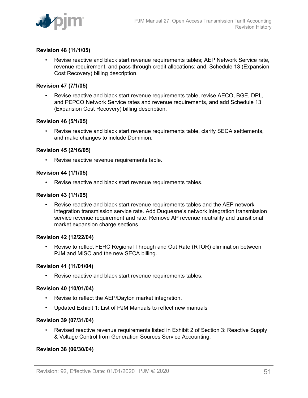

#### **Revision 48 (11/1/05)**

• Revise reactive and black start revenue requirements tables; AEP Network Service rate, revenue requirement, and pass-through credit allocations; and, Schedule 13 (Expansion Cost Recovery) billing description.

#### **Revision 47 (7/1/05)**

• Revise reactive and black start revenue requirements table, revise AECO, BGE, DPL, and PEPCO Network Service rates and revenue requirements, and add Schedule 13 (Expansion Cost Recovery) billing description.

#### **Revision 46 (5/1/05)**

• Revise reactive and black start revenue requirements table, clarify SECA settlements, and make changes to include Dominion.

#### **Revision 45 (2/16/05)**

• Revise reactive revenue requirements table.

#### **Revision 44 (1/1/05)**

• Revise reactive and black start revenue requirements tables.

#### **Revision 43 (1/1/05)**

• Revise reactive and black start revenue requirements tables and the AEP network integration transmission service rate. Add Duquesne's network integration transmission service revenue requirement and rate. Remove AP revenue neutrality and transitional market expansion charge sections.

#### **Revision 42 (12/22/04)**

• Revise to reflect FERC Regional Through and Out Rate (RTOR) elimination between PJM and MISO and the new SECA billing.

#### **Revision 41 (11/01/04)**

• Revise reactive and black start revenue requirements tables.

#### **Revision 40 (10/01/04)**

- Revise to reflect the AEP/Dayton market integration.
- Updated Exhibit 1: List of PJM Manuals to reflect new manuals

#### **Revision 39 (07/31/04)**

• Revised reactive revenue requirements listed in Exhibit 2 of Section 3: Reactive Supply & Voltage Control from Generation Sources Service Accounting.

#### **Revision 38 (06/30/04)**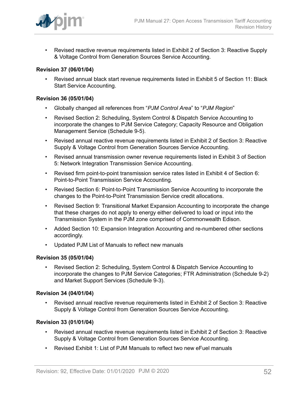

• Revised reactive revenue requirements listed in Exhibit 2 of Section 3: Reactive Supply & Voltage Control from Generation Sources Service Accounting.

#### **Revision 37 (06/01/04)**

• Revised annual black start revenue requirements listed in Exhibit 5 of Section 11: Black Start Service Accounting.

#### **Revision 36 (05/01/04)**

- Globally changed all references from "*PJM Control Area*" to "*PJM Region*"
- Revised Section 2: Scheduling, System Control & Dispatch Service Accounting to incorporate the changes to PJM Service Category; Capacity Resource and Obligation Management Service (Schedule 9-5).
- Revised annual reactive revenue requirements listed in Exhibit 2 of Section 3: Reactive Supply & Voltage Control from Generation Sources Service Accounting.
- Revised annual transmission owner revenue requirements listed in Exhibit 3 of Section 5: Network Integration Transmission Service Accounting.
- Revised firm point-to-point transmission service rates listed in Exhibit 4 of Section 6: Point-to-Point Transmission Service Accounting.
- Revised Section 6: Point-to-Point Transmission Service Accounting to incorporate the changes to the Point-to-Point Transmission Service credit allocations.
- Revised Section 9: Transitional Market Expansion Accounting to incorporate the change that these charges do not apply to energy either delivered to load or input into the Transmission System in the PJM zone comprised of Commonwealth Edison.
- Added Section 10: Expansion Integration Accounting and re-numbered other sections accordingly.
- Updated PJM List of Manuals to reflect new manuals

#### **Revision 35 (05/01/04)**

• Revised Section 2: Scheduling, System Control & Dispatch Service Accounting to incorporate the changes to PJM Service Categories; FTR Administration (Schedule 9-2) and Market Support Services (Schedule 9-3).

#### **Revision 34 (04/01/04)**

• Revised annual reactive revenue requirements listed in Exhibit 2 of Section 3: Reactive Supply & Voltage Control from Generation Sources Service Accounting.

#### **Revision 33 (01/01/04)**

- Revised annual reactive revenue requirements listed in Exhibit 2 of Section 3: Reactive Supply & Voltage Control from Generation Sources Service Accounting.
- Revised Exhibit 1: List of PJM Manuals to reflect two new eFuel manuals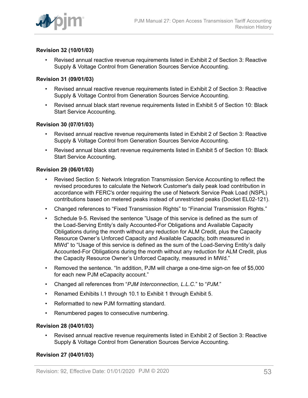

#### **Revision 32 (10/01/03)**

• Revised annual reactive revenue requirements listed in Exhibit 2 of Section 3: Reactive Supply & Voltage Control from Generation Sources Service Accounting.

#### **Revision 31 (09/01/03)**

- Revised annual reactive revenue requirements listed in Exhibit 2 of Section 3: Reactive Supply & Voltage Control from Generation Sources Service Accounting.
- Revised annual black start revenue requirements listed in Exhibit 5 of Section 10: Black Start Service Accounting.

#### **Revision 30 (07/01/03)**

- Revised annual reactive revenue requirements listed in Exhibit 2 of Section 3: Reactive Supply & Voltage Control from Generation Sources Service Accounting.
- Revised annual black start revenue requirements listed in Exhibit 5 of Section 10: Black Start Service Accounting.

#### **Revision 29 (06/01/03)**

- Revised Section 5: Network Integration Transmission Service Accounting to reflect the revised procedures to calculate the Network Customer's daily peak load contribution in accordance with FERC's order requiring the use of Network Service Peak Load (NSPL) contributions based on metered peaks instead of unrestricted peaks (Docket EL02-121).
- Changed references to "Fixed Transmission Rights" to "Financial Transmission Rights."
- Schedule 9-5. Revised the sentence "Usage of this service is defined as the sum of the Load-Serving Entity's daily Accounted-For Obligations and Available Capacity Obligations during the month without any reduction for ALM Credit, plus the Capacity Resource Owner's Unforced Capacity and Available Capacity, both measured in MWd" to "Usage of this service is defined as the sum of the Load-Serving Entity's daily Accounted-For Obligations during the month without any reduction for ALM Credit, plus the Capacity Resource Owner's Unforced Capacity, measured in MWd."
- Removed the sentence. "In addition, PJM will charge a one-time sign-on fee of \$5,000 for each new PJM eCapacity account."
- Changed all references from "*PJM Interconnection, L.L.C.*" to "*PJM*."
- Renamed Exhibits I.1 through 10.1 to Exhibit 1 through Exhibit 5.
- Reformatted to new PJM formatting standard.
- Renumbered pages to consecutive numbering.

#### **Revision 28 (04/01/03)**

• Revised annual reactive revenue requirements listed in Exhibit 2 of Section 3: Reactive Supply & Voltage Control from Generation Sources Service Accounting.

#### **Revision 27 (04/01/03)**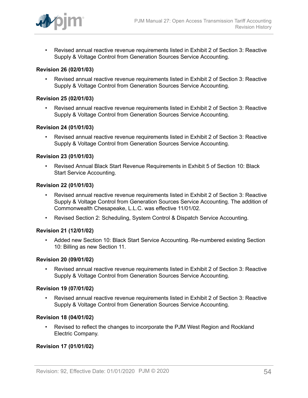

• Revised annual reactive revenue requirements listed in Exhibit 2 of Section 3: Reactive Supply & Voltage Control from Generation Sources Service Accounting.

#### **Revision 26 (02/01/03)**

• Revised annual reactive revenue requirements listed in Exhibit 2 of Section 3: Reactive Supply & Voltage Control from Generation Sources Service Accounting.

#### **Revision 25 (02/01/03)**

• Revised annual reactive revenue requirements listed in Exhibit 2 of Section 3: Reactive Supply & Voltage Control from Generation Sources Service Accounting.

#### **Revision 24 (01/01/03)**

• Revised annual reactive revenue requirements listed in Exhibit 2 of Section 3: Reactive Supply & Voltage Control from Generation Sources Service Accounting.

#### **Revision 23 (01/01/03)**

• Revised Annual Black Start Revenue Requirements in Exhibit 5 of Section 10: Black Start Service Accounting.

#### **Revision 22 (01/01/03)**

- Revised annual reactive revenue requirements listed in Exhibit 2 of Section 3: Reactive Supply & Voltage Control from Generation Sources Service Accounting. The addition of Commonwealth Chesapeake, L.L.C. was effective 11/01/02.
- Revised Section 2: Scheduling, System Control & Dispatch Service Accounting.

#### **Revision 21 (12/01/02)**

• Added new Section 10: Black Start Service Accounting. Re-numbered existing Section 10: Billing as new Section 11.

#### **Revision 20 (09/01/02)**

• Revised annual reactive revenue requirements listed in Exhibit 2 of Section 3: Reactive Supply & Voltage Control from Generation Sources Service Accounting.

#### **Revision 19 (07/01/02)**

• Revised annual reactive revenue requirements listed in Exhibit 2 of Section 3: Reactive Supply & Voltage Control from Generation Sources Service Accounting.

#### **Revision 18 (04/01/02)**

• Revised to reflect the changes to incorporate the PJM West Region and Rockland Electric Company.

#### **Revision 17 (01/01/02)**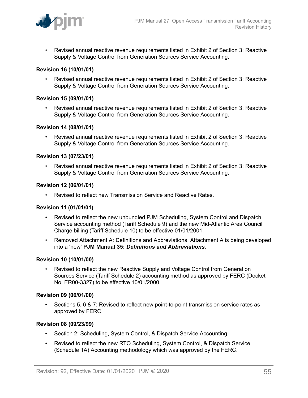

• Revised annual reactive revenue requirements listed in Exhibit 2 of Section 3: Reactive Supply & Voltage Control from Generation Sources Service Accounting.

#### **Revision 16 (10/01/01)**

• Revised annual reactive revenue requirements listed in Exhibit 2 of Section 3: Reactive Supply & Voltage Control from Generation Sources Service Accounting.

#### **Revision 15 (09/01/01)**

• Revised annual reactive revenue requirements listed in Exhibit 2 of Section 3: Reactive Supply & Voltage Control from Generation Sources Service Accounting.

#### **Revision 14 (08/01/01)**

• Revised annual reactive revenue requirements listed in Exhibit 2 of Section 3: Reactive Supply & Voltage Control from Generation Sources Service Accounting.

#### **Revision 13 (07/23/01)**

• Revised annual reactive revenue requirements listed in Exhibit 2 of Section 3: Reactive Supply & Voltage Control from Generation Sources Service Accounting.

#### **Revision 12 (06/01/01)**

• Revised to reflect new Transmission Service and Reactive Rates.

#### **Revision 11 (01/01/01)**

- Revised to reflect the new unbundled PJM Scheduling, System Control and Dispatch Service accounting method (Tariff Schedule 9) and the new Mid-Atlantic Area Council Charge billing (Tariff Schedule 10) to be effective 01/01/2001.
- Removed Attachment A: Definitions and Abbreviations. Attachment A is being developed into a 'new' **PJM Manual 35:** *Definitions and Abbreviations*.

#### **Revision 10 (10/01/00)**

• Revised to reflect the new Reactive Supply and Voltage Control from Generation Sources Service (Tariff Schedule 2) accounting method as approved by FERC (Docket No. ER00-3327) to be effective 10/01/2000.

#### **Revision 09 (06/01/00)**

• Sections 5, 6 & 7: Revised to reflect new point-to-point transmission service rates as approved by FERC.

#### **Revision 08 (09/23/99)**

- Section 2: Scheduling, System Control, & Dispatch Service Accounting
- Revised to reflect the new RTO Scheduling, System Control, & Dispatch Service (Schedule 1A) Accounting methodology which was approved by the FERC.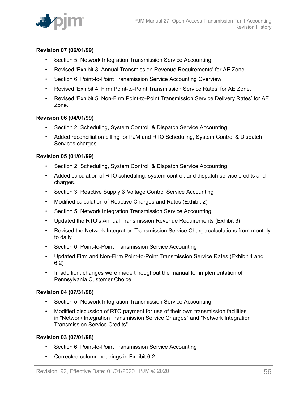

#### **Revision 07 (06/01/99)**

- Section 5: Network Integration Transmission Service Accounting
- Revised 'Exhibit 3: Annual Transmission Revenue Requirements' for AE Zone.
- Section 6: Point-to-Point Transmission Service Accounting Overview
- Revised 'Exhibit 4: Firm Point-to-Point Transmission Service Rates' for AE Zone.
- Revised 'Exhibit 5: Non-Firm Point-to-Point Transmission Service Delivery Rates' for AE Zone.

#### **Revision 06 (04/01/99)**

- Section 2: Scheduling, System Control, & Dispatch Service Accounting
- Added reconciliation billing for PJM and RTO Scheduling, System Control & Dispatch Services charges.

#### **Revision 05 (01/01/99)**

- Section 2: Scheduling, System Control, & Dispatch Service Accounting
- Added calculation of RTO scheduling, system control, and dispatch service credits and charges.
- Section 3: Reactive Supply & Voltage Control Service Accounting
- Modified calculation of Reactive Charges and Rates (Exhibit 2)
- Section 5: Network Integration Transmission Service Accounting
- Updated the RTO's Annual Transmission Revenue Requirements (Exhibit 3)
- Revised the Network Integration Transmission Service Charge calculations from monthly to daily.
- Section 6: Point-to-Point Transmission Service Accounting
- Updated Firm and Non-Firm Point-to-Point Transmission Service Rates (Exhibit 4 and 6.2)
- In addition, changes were made throughout the manual for implementation of Pennsylvania Customer Choice.

#### **Revision 04 (07/31/98)**

- Section 5: Network Integration Transmission Service Accounting
- Modified discussion of RTO payment for use of their own transmission facilities in "Network Integration Transmission Service Charges" and "Network Integration Transmission Service Credits"

#### **Revision 03 (07/01/98)**

- Section 6: Point-to-Point Transmission Service Accounting
- Corrected column headings in Exhibit 6.2.